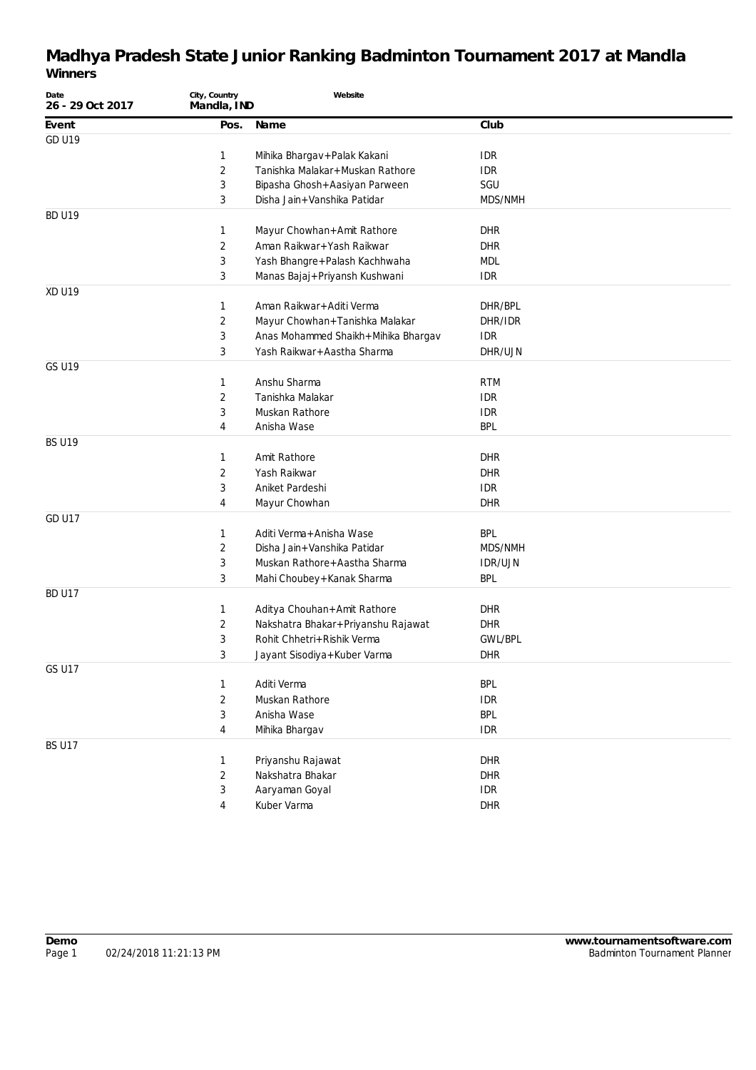| Date<br>26 - 29 Oct 2017 | City, Country<br>Mandla, IND | Website                             |                |
|--------------------------|------------------------------|-------------------------------------|----------------|
| Event                    | Pos.                         | Name                                | Club           |
| <b>GD U19</b>            |                              |                                     |                |
|                          | 1                            | Mihika Bhargav + Palak Kakani       | <b>IDR</b>     |
|                          | 2                            | Tanishka Malakar+Muskan Rathore     | <b>IDR</b>     |
|                          | 3                            | Bipasha Ghosh+Aasiyan Parween       | SGU            |
|                          | 3                            | Disha Jain+Vanshika Patidar         | MDS/NMH        |
| <b>BD U19</b>            |                              |                                     |                |
|                          | 1                            | Mayur Chowhan+Amit Rathore          | DHR            |
|                          | 2                            | Aman Raikwar+Yash Raikwar           | <b>DHR</b>     |
|                          | 3                            | Yash Bhangre+Palash Kachhwaha       | <b>MDL</b>     |
|                          | 3                            | Manas Bajaj+Priyansh Kushwani       | <b>IDR</b>     |
| <b>XD U19</b>            |                              |                                     |                |
|                          | 1                            | Aman Raikwar+Aditi Verma            | DHR/BPL        |
|                          | 2                            | Mayur Chowhan+Tanishka Malakar      | DHR/IDR        |
|                          | 3                            | Anas Mohammed Shaikh+Mihika Bhargav | <b>IDR</b>     |
|                          | 3                            | Yash Raikwar+Aastha Sharma          | DHR/UJN        |
| <b>GS U19</b>            |                              |                                     |                |
|                          | 1                            | Anshu Sharma                        | <b>RTM</b>     |
|                          | 2                            | Tanishka Malakar                    | <b>IDR</b>     |
|                          | 3                            | Muskan Rathore                      | <b>IDR</b>     |
|                          | 4                            | Anisha Wase                         | <b>BPL</b>     |
| <b>BS U19</b>            |                              |                                     |                |
|                          | 1                            | Amit Rathore                        | <b>DHR</b>     |
|                          | 2                            | Yash Raikwar                        | <b>DHR</b>     |
|                          | 3                            | Aniket Pardeshi                     | <b>IDR</b>     |
|                          | 4                            | Mayur Chowhan                       | <b>DHR</b>     |
| <b>GD U17</b>            |                              |                                     |                |
|                          | 1                            | Aditi Verma + Anisha Wase           | <b>BPL</b>     |
|                          | $\overline{2}$               | Disha Jain+Vanshika Patidar         | MDS/NMH        |
|                          | 3                            | Muskan Rathore+Aastha Sharma        | <b>IDR/UJN</b> |
|                          | 3                            | Mahi Choubey + Kanak Sharma         | <b>BPL</b>     |
| <b>BD U17</b>            |                              |                                     |                |
|                          | 1                            | Aditya Chouhan+Amit Rathore         | <b>DHR</b>     |
|                          | 2                            | Nakshatra Bhakar+Priyanshu Rajawat  | <b>DHR</b>     |
|                          | 3                            | Rohit Chhetri+Rishik Verma          | <b>GWL/BPL</b> |
|                          | 3                            | Jayant Sisodiya+Kuber Varma         | DHR            |
| <b>GS U17</b>            |                              |                                     |                |
|                          | 1                            | Aditi Verma                         | <b>BPL</b>     |
|                          | $\sqrt{2}$                   | Muskan Rathore                      | <b>IDR</b>     |
|                          | 3                            | Anisha Wase                         | <b>BPL</b>     |
|                          | 4                            | Mihika Bhargav                      | <b>IDR</b>     |
| <b>BS U17</b>            |                              |                                     |                |
|                          | 1                            | Priyanshu Rajawat                   | <b>DHR</b>     |
|                          | $\sqrt{2}$                   | Nakshatra Bhakar                    | DHR            |
|                          | 3                            | Aaryaman Goyal                      | <b>IDR</b>     |
|                          | 4                            | Kuber Varma                         | DHR            |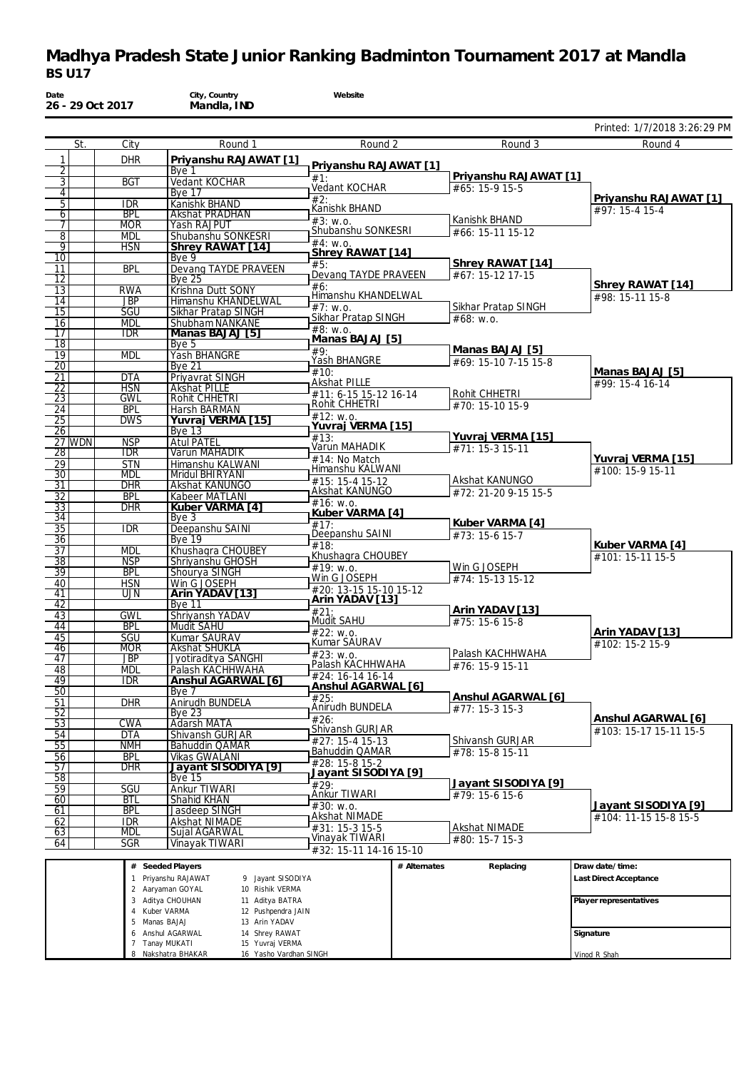| Date                               |        | 26 - 29 Oct 2017               | City, Country<br>Mandla, IND                                                    | Website                                   |              |                                      |                                         |
|------------------------------------|--------|--------------------------------|---------------------------------------------------------------------------------|-------------------------------------------|--------------|--------------------------------------|-----------------------------------------|
|                                    |        |                                |                                                                                 |                                           |              |                                      | Printed: 1/7/2018 3:26:29 PM            |
|                                    | St.    | City                           | Round 1                                                                         | Round 2                                   |              | Round 3                              | Round 4                                 |
| 1                                  |        | <b>DHR</b>                     | Priyanshu RAJAWAT [1]                                                           | Priyanshu RAJAWAT [1]                     |              |                                      |                                         |
| 2<br>3                             |        | <b>BGT</b>                     | Bye 1<br>Vedant KOCHAR                                                          | #1:                                       |              | Priyanshu RAJAWAT [1]                |                                         |
| 4                                  |        |                                | Bye 17                                                                          | Vedant KOCHAR                             |              | #65: 15-9 15-5                       |                                         |
| 5                                  |        | <b>IDR</b>                     | Kanishk BHAND                                                                   | #2:<br>Kanishk BHAND                      |              |                                      | Priyanshu RAJAWAT [1]<br>#97: 15-4 15-4 |
| 6<br>7                             |        | <b>BPL</b><br><b>MOR</b>       | <b>Akshat PRADHAN</b><br><b>Yash RAJPUT</b>                                     | #3: w.o.                                  |              | Kanishk BHAND                        |                                         |
| 8                                  |        | <b>MDL</b>                     | Shubanshu SONKESRI                                                              | Shubanshu SONKESRI<br>#4: w.o.            |              | #66: 15-11 15-12                     |                                         |
| 9<br>$\overline{10}$               |        | <b>HSN</b>                     | Shrey RAWAT [14]<br>Bye 9                                                       | Shrey RAWAT [14]                          |              |                                      |                                         |
| 11                                 |        | <b>BPL</b>                     | Devang TAYDE PRAVEEN                                                            | #5:<br>Devang TAYDE PRAVEEN               |              | Shrey RAWAT [14]<br>#67: 15-12 17-15 |                                         |
| 12<br>13                           |        | <b>RWA</b>                     | Bye $25$<br>Krishna Dutt SONY                                                   | #6:                                       |              |                                      | Shrey RAWAT [14]                        |
| 14                                 |        | <b>JBP</b>                     | Himanshu KHANDELWAL                                                             | Himanshu KHANDELWAL<br>#7: W.0.           |              | Sikhar Pratap SINGH                  | #98: 15-11 15-8                         |
| 15                                 |        | SGU<br><b>MDL</b>              | Sikhar Pratap SINGH<br>Shubham NANKANE                                          | Sikhar Pratap SINGH                       |              | #68: W.0.                            |                                         |
| 16<br>17                           |        | <b>IDR</b>                     | Manas BAJAJ [5]                                                                 | #8: w.o.                                  |              |                                      |                                         |
| $\overline{18}$                    |        |                                | Bye 5                                                                           | Manas BAJAJ [5]<br>#9:                    |              | Manas BAJAJ [5]                      |                                         |
| 19<br>$\overline{20}$              |        | <b>MDL</b>                     | <b>Yash BHANGRE</b><br><b>Bye 21</b>                                            | Yash BHANGRE                              |              | #69: 15-10 7-15 15-8                 |                                         |
| 21                                 |        | <b>DTA</b>                     | Priyavrat SINGH                                                                 | #10:<br><b>Akshat PILLE</b>               |              |                                      | Manas BAJAJ [5]<br>#99: 15-4 16-14      |
| $\overline{22}$<br>$\overline{23}$ |        | <b>HSN</b><br><b>GWL</b>       | <b>Akshat PILLE</b><br>Rohit CHHETRI                                            | #11: 6-15 15-12 16-14                     |              | Rohit CHHETRI                        |                                         |
| 24                                 |        | <b>BPL</b>                     | Harsh BARMAN                                                                    | Rohit CHHETRI                             |              | #70: 15-10 15-9                      |                                         |
| 25                                 |        | <b>DWS</b>                     | Yuvraj VERMA [15]                                                               | #12: w.o.<br>Yuvraj VERMA [15]            |              |                                      |                                         |
| 26                                 | 27 WDN | <b>NSP</b>                     | <b>Bye 13</b><br><b>Atul PATEL</b>                                              | #13:                                      |              | Yuvraj VERMA [15]                    |                                         |
| 28                                 |        | <b>IDR</b>                     | Varun MAHADIK                                                                   | Varun MAHADIK<br>#14: No Match            |              | #71: 15-3 15-11                      | Yuvraj VERMA [15]                       |
| 29<br>$\overline{30}$              |        | <b>STN</b><br><b>MDL</b>       | Himanshu KALWANI<br><b>Mridul BHIRYANI</b>                                      | Himanshu KALWANI                          |              |                                      | #100: 15-9 15-11                        |
| 31                                 |        | DHR                            | Akshat KANUNGO                                                                  | #15: 15-4 15-12                           |              | Akshat KANUNGO                       |                                         |
| $\overline{32}$                    |        | <b>BPL</b>                     | Kabeer MATLANI                                                                  | Akshat KANUNGO<br>#16: w.o.               |              | #72: 21-20 9-15 15-5                 |                                         |
| $\overline{33}$<br>$\overline{34}$ |        | DHR                            | Kuber VARMA [4]<br>Bye $3$                                                      | Kuber VARMA [4]                           |              |                                      |                                         |
| $\overline{35}$                    |        | <b>IDR</b>                     | Deepanshu SAINI                                                                 | #17:<br>Deepanshu SAINI                   |              | Kuber VARMA [4]<br>#73: 15-6 15-7    |                                         |
| $\overline{36}$<br>37              |        | <b>MDL</b>                     | Bye 19<br>Khushagra CHOUBEY                                                     | #18:                                      |              |                                      | Kuber VARMA [4]                         |
| $\overline{38}$                    |        | <b>NSP</b>                     | Shriyanshu GHOSH                                                                | Khushagra CHOUBEY<br>#19: w.o.            |              | Win G JOSEPH                         | #101: 15-11 15-5                        |
| 39<br>40                           |        | <b>BPL</b><br><b>HSN</b>       | Shourya SINGH<br>Win G JOSEPH                                                   | Win G JOSEPH                              |              | #74: 15-13 15-12                     |                                         |
| 41                                 |        | UJN                            | Arin YADAV [13]                                                                 | #20: 13-15 15-10 15-12<br>Arin YADAV [13] |              |                                      |                                         |
| 42<br>43                           |        | <b>GWL</b>                     | <b>Bye 11</b><br>Shriyansh YADAV                                                | #21:                                      |              | Arin YADAV [13]                      |                                         |
| 44                                 |        | <b>BPL</b>                     | <b>Mudit SAHU</b>                                                               | Mudit SAHU                                |              | #75: 15-6 15-8                       |                                         |
| 45                                 |        | SGU                            | Kumar SAURAV                                                                    | #22: w.o.<br>Kumar SAURAV                 |              |                                      | Arin YADAV [13]<br>#102: 15-2 15-9      |
| 46<br>47                           |        | <b>MOR</b><br>JRH              | <b>Akshat SHUKLA</b><br>Jyotiraditya SANGHI                                     | #23: w.o.                                 |              | Palash KACHHWAHA                     |                                         |
| 48                                 |        | <b>MDL</b>                     | Palash KACHHWAHA                                                                | Palash KACHHWAHA<br>#24: 16-14 16-14      |              | #76: 15-9 15-11                      |                                         |
| 49<br>50                           |        | <b>IDR</b>                     | Anshul AGARWAL [6]<br>Bye 7                                                     | Anshul AGARWAL [6]                        |              |                                      |                                         |
| 51                                 |        | <b>DHR</b>                     | Anirudh BUNDELA                                                                 | #25:<br>Anirudh BUNDELA                   |              | Anshul AGARWAL [6]                   |                                         |
| 52                                 |        | CWA                            | Bye 23                                                                          | #26:                                      |              | #77: 15-3 15-3                       | Anshul AGARWAL [6]                      |
| 53<br>54                           |        | <b>DTA</b>                     | <b>Adarsh MATA</b><br>Shivansh GURJAR                                           | Shivansh GURJAR                           |              |                                      | #103: 15-17 15-11 15-5                  |
| $\overline{55}$                    |        | <b>NMH</b>                     | <b>Bahuddin QAMAR</b>                                                           | #27: 15-4 15-13<br>Bahuddin QAMAR         |              | Shivansh GURJAR<br>#78: 15-8 15-11   |                                         |
| 56<br>57                           |        | <b>BPL</b><br>dhr              | <b>Vikas GWALANI</b><br>Jayant SISODIYA [9]                                     | #28: 15-8 15-2                            |              |                                      |                                         |
| $\overline{58}$                    |        |                                | Bye $15$                                                                        | Jayant SISODIYA [9]<br>#29:               |              | Jayant SISODIYA [9]                  |                                         |
| 59<br>60                           |        | SGU<br><b>BTL</b>              | Ankur TIWARI<br>Shahid KHAN                                                     | Ankur TIWARI                              |              | #79: 15-6 15-6                       |                                         |
| 61                                 |        | <b>BPL</b>                     | <b>Jasdeep SINGH</b>                                                            | $#30:$ w.o.                               |              |                                      | Jayant SISODIYA [9]                     |
| 62                                 |        | <b>IDR</b>                     | <b>Akshat NIMADE</b>                                                            | <b>Akshat NIMADE</b><br>#31: 15-3 15-5    |              | Akshat NIMADE                        | #104: 11-15 15-8 15-5                   |
| 63<br>64                           |        | <b>MDL</b><br><b>SGR</b>       | Sujal AGARWAL<br>Vinayak TIWARI                                                 | Vinayak TIWARI                            |              | #80: 15-7 15-3                       |                                         |
|                                    |        |                                |                                                                                 | #32: 15-11 14-16 15-10                    |              |                                      |                                         |
|                                    |        |                                | # Seeded Players                                                                |                                           | # Alternates | Replacing                            | Draw date/time:                         |
|                                    |        |                                | 1 Priyanshu RAJAWAT<br>9 Jayant SISODIYA<br>2 Aaryaman GOYAL<br>10 Rishik VERMA |                                           |              |                                      | Last Direct Acceptance                  |
|                                    |        |                                | 3 Aditya CHOUHAN<br>11 Aditya BATRA                                             |                                           |              |                                      | Player representatives                  |
|                                    |        | 4 Kuber VARMA<br>5 Manas BAJAJ | 12 Pushpendra JAIN<br>13 Arin YADAV                                             |                                           |              |                                      |                                         |
|                                    |        |                                | 6 Anshul AGARWAL<br>14 Shrey RAWAT                                              |                                           |              |                                      | Signature                               |
|                                    |        | 7 Tanay MUKATI                 | 15 Yuvraj VERMA<br>8 Nakshatra BHAKAR<br>16 Yasho Vardhan SINGH                 |                                           |              |                                      | Vinod R Shah                            |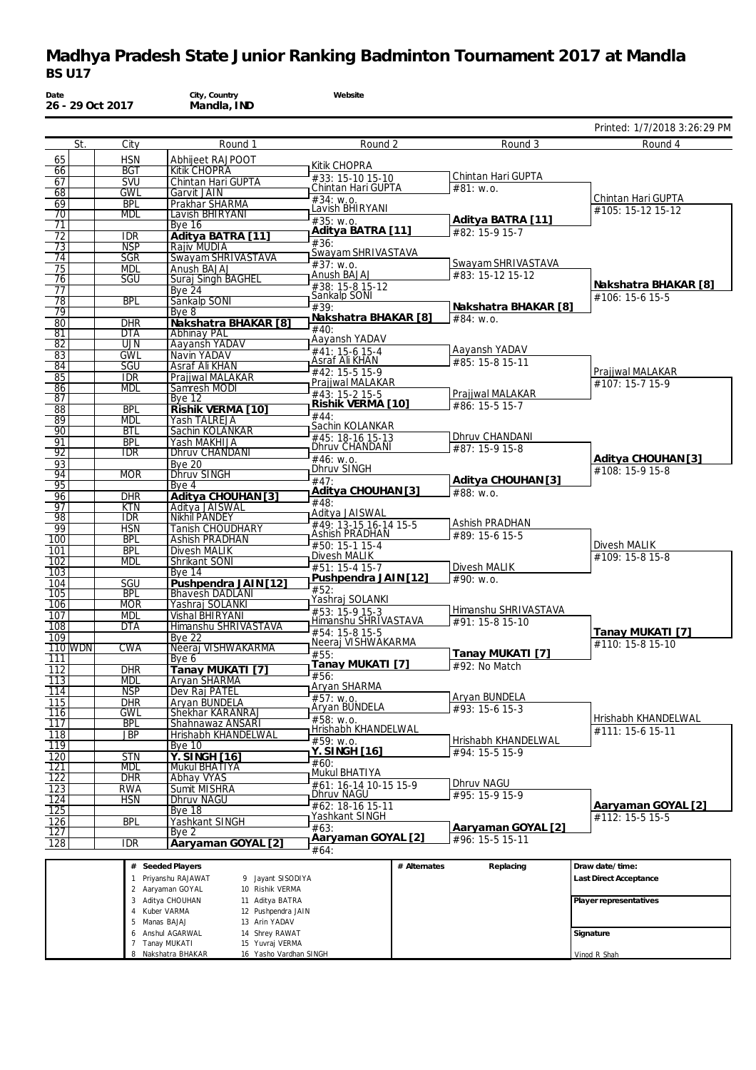| Date                                 | 26 - 29 Oct 2017         | City, Country<br>Mandla, IND                                                  | Website                                 |                                    |                                       |
|--------------------------------------|--------------------------|-------------------------------------------------------------------------------|-----------------------------------------|------------------------------------|---------------------------------------|
|                                      |                          |                                                                               |                                         |                                    | Printed: 1/7/2018 3:26:29 PM          |
| St.                                  | City                     | Round 1                                                                       | Round 2                                 | Round 3                            | Round 4                               |
| 65                                   | <b>HSN</b>               | Abhijeet RAJPOOT                                                              | Kitik CHOPRA                            |                                    |                                       |
| 66<br>67                             | <b>BGT</b><br><b>SVU</b> | <b>Kitik CHOPRA</b><br>Chintan Hari GUPTA                                     | #33: 15-10 15-10                        | Chintan Hari GUPTA                 |                                       |
| 68                                   | <b>GWL</b>               | Garvit JAIN                                                                   | Chintan Hari GUPTA                      | #81: w.o.                          |                                       |
| 69                                   | <b>BPL</b>               | Prakhar SHARMA                                                                | #34: W.0.<br>Lavish BHIRYANI            |                                    | Chintan Hari GUPTA                    |
| 70                                   | <b>MDL</b>               | Lavish BHIRYANI                                                               | #35: w.o.                               | Aditya BATRA [11]                  | #105: 15-12 15-12                     |
| 71<br>72                             | <b>IDR</b>               | Bye $16$<br>Aditya BATRA [11]                                                 | Aditya BATRA [11]                       | #82: 15-9 15-7                     |                                       |
| 73                                   | <b>NSP</b>               | Rajiv MUDIA                                                                   | #36:                                    |                                    |                                       |
| 74                                   | <b>SGR</b>               | Swayam SHRIVASTAVA                                                            | Swayam SHRIVASTAVA<br>#37: w.o.         | Swayam SHRIVASTAVA                 |                                       |
| $\overline{75}$<br>76                | <b>MDL</b><br>SGU        | Anush BAJAJ<br><b>Suraj Singh BAGHEL</b>                                      | Anush BAJAJ                             | #83: 15-12 15-12                   |                                       |
| 77                                   |                          | <b>Bve 24</b>                                                                 | #38: 15-8 15-12                         |                                    | Nakshatra BHAKAR [8]                  |
| 78                                   | <b>BPL</b>               | Sankalp SONI                                                                  | Sankalp SONI<br>#39:                    | Nakshatra BHAKAR [8]               | #106: 15-6 15-5                       |
| 79<br>80                             | <b>DHR</b>               | Bye 8<br>Nakshatra BHAKAR [8]                                                 | Nakshatra BHAKAR [8]                    | #84: W.0.                          |                                       |
| 81                                   | <b>DTA</b>               | Abhinay PAL                                                                   | #40:                                    |                                    |                                       |
| 82                                   | UJN                      | Aayansh YADAV                                                                 | Aayansh YADAV<br>#41: 15-6 15-4         | Aayansh YADAV                      |                                       |
| 83                                   | <b>GWL</b>               | Navin YADAV                                                                   | Asraf Ali KHAN                          | #85: 15-8 15-11                    |                                       |
| 84<br>85                             | SGU<br><b>IDR</b>        | Asraf Ali KHAN<br>Prajiwal MALAKAR                                            | #42: 15-5 15-9                          |                                    | Prajiwal MALAKAR                      |
| 86                                   | <b>MDL</b>               | Samresh MODI                                                                  | Prajjwal MALAKAR                        |                                    | #107: 15-7 15-9                       |
| 87                                   |                          | <b>Bye 12</b>                                                                 | #43: 15-2 15-5<br>Rishik VERMA [10]     | Prajjwal MALAKAR<br>#86: 15-5 15-7 |                                       |
| 88<br>$\overline{89}$                | <b>BPL</b><br><b>MDL</b> | Rishik VERMA [10]<br>Yash TALREJA                                             | #44:                                    |                                    |                                       |
| 90                                   | BTL                      | Sachin KOLANKAR                                                               | Sachin KOLANKAR                         |                                    |                                       |
| 91                                   | <b>BPL</b>               | Yash MAKHIJA                                                                  | #45: 18-16 15-13<br>Dhruv CHANDANI      | Dhruv CHANDANI<br>#87: 15-9 15-8   |                                       |
| $\overline{92}$<br>$\overline{93}$   | <b>IDR</b>               | Dhruv CHANDANI<br><b>Bye 20</b>                                               | #46: w.o.                               |                                    | Aditya CHOUHAN [3]                    |
| 94                                   | <b>MOR</b>               | <b>Dhruv SINGH</b>                                                            | Dhruv SINGH                             |                                    | #108: 15-9 15-8                       |
| 95                                   |                          | Bye 4                                                                         | #47:<br>Aditya CHOUHAN [3]              | Aditya CHOUHAN [3]                 |                                       |
| 96                                   | <b>DHR</b>               | Aditya CHOUHAN [3]                                                            | #48:                                    | #88: w.o.                          |                                       |
| 97<br>$\overline{98}$                | <b>KTN</b><br><b>IDR</b> | Aditya JAISWAL<br>Nikhil PANDEY                                               | Aditya JAISWAL                          |                                    |                                       |
| 99                                   | <b>HSN</b>               | Tanish CHOUDHARY                                                              | #49: 13-15 16-14 15-5<br>Äshish PRADHAN | Ashish PRADHAN                     |                                       |
| 100                                  | <b>BPL</b>               | <b>Ashish PRADHAN</b>                                                         | #50: 15-1 15-4                          | #89: 15-6 15-5                     | Divesh MALIK                          |
| 101<br>102                           | <b>BPL</b><br>MDL        | <b>Divesh MALIK</b><br>Shrikant SONI                                          | Divesh MALIK                            |                                    | #109: 15-8 15-8                       |
| $\overline{103}$                     |                          | <b>Bye 14</b>                                                                 | #51: 15-4 15-7                          | Divesh MALIK                       |                                       |
| 104                                  | SGU                      | Pushpendra JAIN [12]                                                          | Pushpendra JAIN [12]<br>#52:            | #90: W.0.                          |                                       |
| 105<br>106                           | <b>BPL</b><br><b>MOR</b> | <b>Bhavesh DADLANI</b><br>Yashraj SOLANKI                                     | Yashraj SOLANKI                         |                                    |                                       |
| 107                                  | <b>MDL</b>               | <b>Vishal BHIRYANI</b>                                                        | #53: 15-9 15-3                          | Himanshu SHRIVASTAVA               |                                       |
| 108                                  | <b>DTA</b>               | Himanshu SHRIVASTAVA                                                          | Himanshu SHRIVASTAVA<br>#54: 15-8 15-5  | #91: 15-8 15-10                    | Tanay MUKATI [7]                      |
| 109<br><b>110 WDN</b>                | CWA                      | <b>Bye 22</b><br>Neeraj VISHWAKARMA                                           | Neeraj VISHWAKARMA                      |                                    | #110: 15-8 15-10                      |
| 111                                  |                          | Bye 6                                                                         | #55:                                    | Tanay MUKATI [7]                   |                                       |
| $\overline{112}$                     | <b>DHR</b>               | Tanay MUKATI [7]                                                              | Tanay MUKATI [7]<br>#56:                | $#92$ : No Match                   |                                       |
| $\overline{113}$<br>114              | <b>MDL</b><br><b>NSP</b> | <b>Aryan SHARMA</b><br>Dev Raj PATEL                                          | Aryan SHARMA                            |                                    |                                       |
| $\overline{115}$                     | <b>DHR</b>               | Aryan BUNDELA                                                                 | #57: W.0.                               | Aryan BUNDELA                      |                                       |
| 116                                  | GWL                      | Shekhar KARANRAJ                                                              | Aryan BUNDELA<br>#58: w.o.              | #93: 15-6 15-3                     | Hrishabh KHANDELWAL                   |
| 117                                  | <b>BPL</b>               | Shahnawaz ANSARI                                                              | Hrishabh KHANDELWAL                     |                                    | #111: 15-6 15-11                      |
| $\overline{118}$<br>119              | <b>JBP</b>               | Hrishabh KHANDELWAL<br>Bye 10                                                 | #59: w.o.                               | Hrishabh KHANDELWAL                |                                       |
| $\overline{120}$                     | <b>STN</b>               | <b>Y. SINGH</b> [16]                                                          | <u>Y. SINGH [16]</u>                    | #94: 15-5 15-9                     |                                       |
| $\overline{121}$                     | <b>MDL</b>               | <b>Mukul BHATIYA</b>                                                          | #60:<br>Mukul BHATIYA                   |                                    |                                       |
| $\overline{122}$<br>$\overline{123}$ | <b>DHR</b><br><b>RWA</b> | <b>Abhay VYAS</b><br>Sumit MISHRA                                             | #61: 16-14 10-15 15-9                   | Dhruv NAGU                         |                                       |
| 124                                  | <b>HSN</b>               | Dhruv NAGU                                                                    | Dhruv NAGU                              | #95: 15-9 15-9                     |                                       |
| 125                                  |                          | Bye 18                                                                        | #62: 18-16 15-11<br>Yashkant SINGH      |                                    | Aaryaman GOYAL [2]<br>#112: 15-5 15-5 |
| 126<br>127                           | <b>BPL</b>               | Yashkant SINGH                                                                | #63:                                    | Aaryaman GOYAL [2]                 |                                       |
| 128                                  | <b>IDR</b>               | Bye 2<br>Aaryaman GOYAL [2]                                                   | Aaryaman GOYAL [2]                      | #96: 15-5 15-11                    |                                       |
|                                      |                          |                                                                               | #64:                                    |                                    |                                       |
|                                      |                          | # Seeded Players                                                              |                                         | # Alternates<br>Replacing          | Draw date/time:                       |
|                                      | $\mathbf{1}$             | Priyanshu RAJAWAT<br>9 Jayant SISODIYA<br>2 Aaryaman GOYAL<br>10 Rishik VERMA |                                         |                                    | Last Direct Acceptance                |
|                                      |                          | 3 Aditya CHOUHAN<br>11 Aditya BATRA                                           |                                         |                                    | Player representatives                |
|                                      | $\overline{4}$           | Kuber VARMA<br>12 Pushpendra JAIN                                             |                                         |                                    |                                       |
|                                      | 6                        | 5 Manas BAJAJ<br>13 Arin YADAV<br>Anshul AGARWAL<br>14 Shrey RAWAT            |                                         |                                    | Signature                             |
|                                      |                          | 7 Tanay MUKATI<br>15 Yuvraj VERMA                                             |                                         |                                    |                                       |
|                                      |                          | 8 Nakshatra BHAKAR<br>16 Yasho Vardhan SINGH                                  |                                         |                                    | Vinod R Shah                          |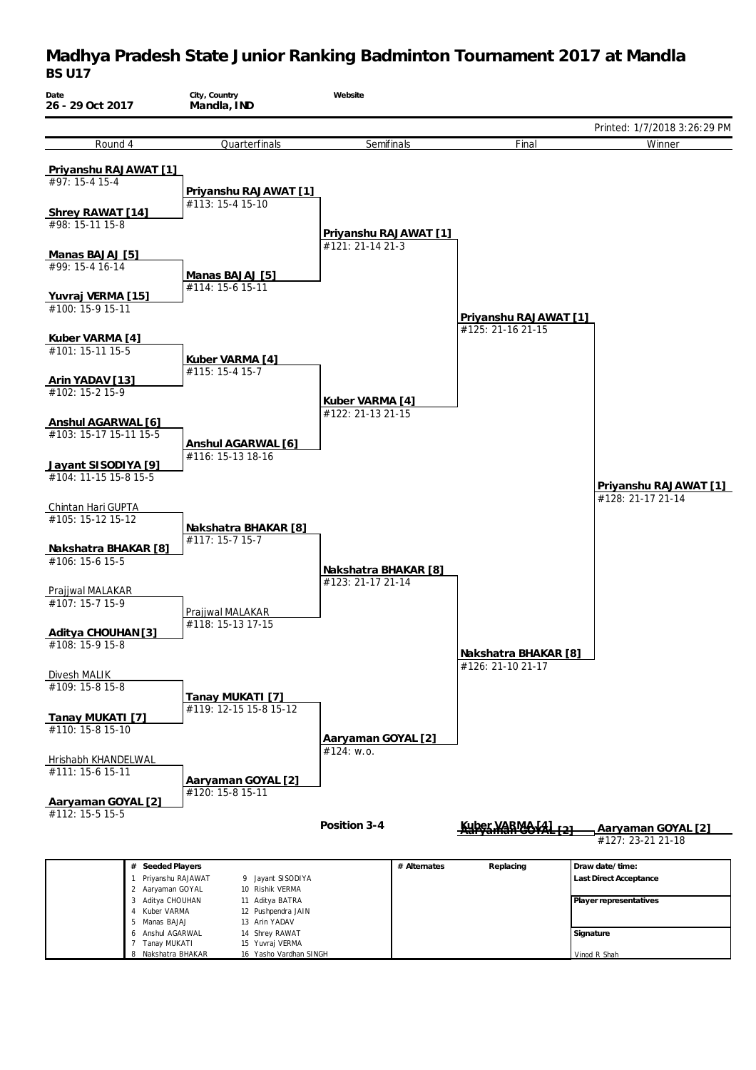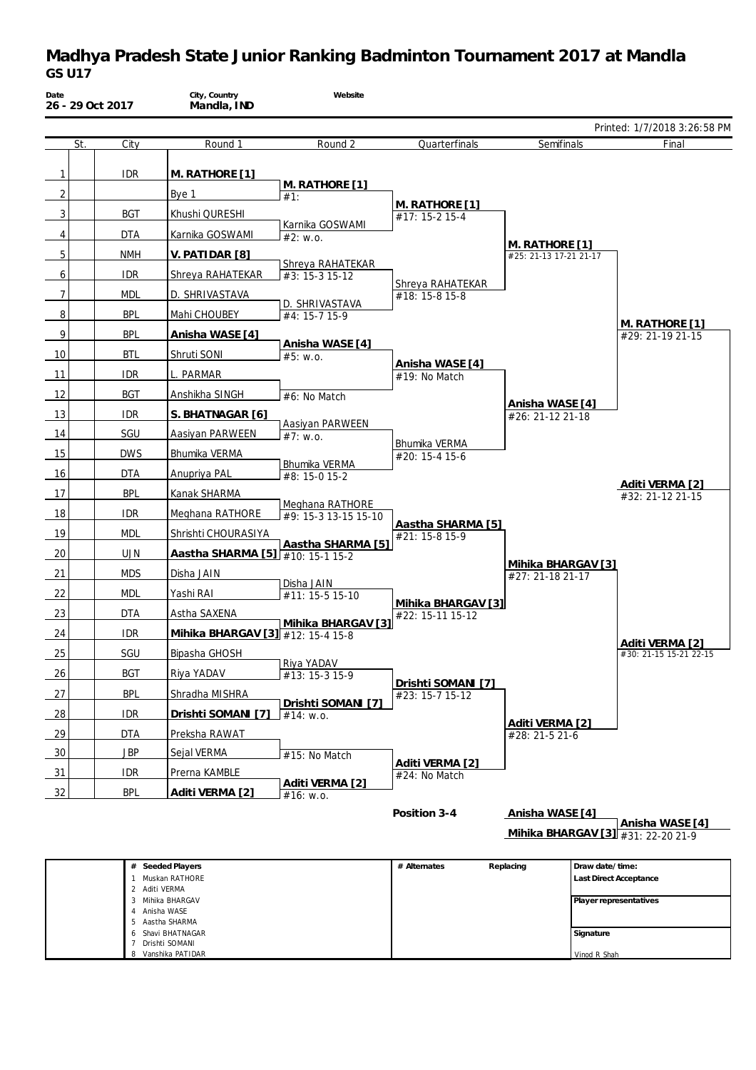| Date<br>26 - 29 Oct 2017 |            | City, Country<br>Mandla, IND      | Website                                 |                                        |                                                       |                                           |
|--------------------------|------------|-----------------------------------|-----------------------------------------|----------------------------------------|-------------------------------------------------------|-------------------------------------------|
|                          |            |                                   |                                         |                                        |                                                       | Printed: 1/7/2018 3:26:58 PM              |
| St.                      | City       | Round 1                           | Round 2                                 | Quarterfinals                          | Semifinals                                            | Final                                     |
| $\mathbf{1}$             | IDR.       | M. RATHORE [1]                    |                                         |                                        |                                                       |                                           |
| $\overline{2}$           |            | Bye 1                             | M. RATHORE [1]<br>$#1$ :                |                                        |                                                       |                                           |
| 3                        | <b>BGT</b> | Khushi QURESHI                    |                                         | M. RATHORE [1]<br>#17: 15-2 15-4       |                                                       |                                           |
| 4                        | <b>DTA</b> | Karnika GOSWAMI                   | Karnika GOSWAMI<br>#2: W.0.             |                                        |                                                       |                                           |
| 5                        | <b>NMH</b> | V. PATIDAR [8]                    |                                         |                                        | M. RATHORE [1]<br>#25: 21-13 17-21 21-17              |                                           |
| 6                        | <b>IDR</b> | Shreya RAHATEKAR                  | Shreya RAHATEKAR<br>#3: 15-3 15-12      |                                        |                                                       |                                           |
| $\overline{7}$           | <b>MDL</b> | D. SHRIVASTAVA                    |                                         | Shreya RAHATEKAR<br>$#18: 15-815-8$    |                                                       |                                           |
| 8                        | <b>BPL</b> | Mahi CHOUBEY                      | D. SHRIVASTAVA<br>#4: 15-7 15-9         |                                        |                                                       |                                           |
| 9                        | <b>BPL</b> | Anisha WASE [4]                   |                                         |                                        |                                                       | M. RATHORE [1]<br>#29: 21-19 21-15        |
| 10                       | <b>BTL</b> | Shruti SONI                       | Anisha WASE [4]<br>#5: W.0.             |                                        |                                                       |                                           |
| 11                       | <b>IDR</b> | l. Parmar                         |                                         | Anisha WASE [4]<br>#19: No Match       |                                                       |                                           |
| 12                       | <b>BGT</b> | Anshikha SINGH                    | #6: No Match                            |                                        |                                                       |                                           |
| 13                       | IDR.       | S. BHATNAGAR [6]                  |                                         |                                        | Anisha WASE [4]<br>#26: 21-12 21-18                   |                                           |
| 14                       | SGU        | Aasiyan PARWEEN                   | Aasiyan PARWEEN<br>#7: W.0.             |                                        |                                                       |                                           |
| 15                       | <b>DWS</b> | Bhumika VERMA                     |                                         | Bhumika VERMA<br>#20: 15-4 15-6        |                                                       |                                           |
| 16                       | <b>DTA</b> | Anupriya PAL                      | Bhumika VERMA<br>#8: 15-0 15-2          |                                        |                                                       |                                           |
| 17                       | <b>BPL</b> | Kanak SHARMA                      |                                         |                                        |                                                       | Aditi VERMA [2]<br>#32: 21-12 21-15       |
| 18                       | IDR.       | Meghana RATHORE                   | Meghana RATHORE<br>#9: 15-3 13-15 15-10 |                                        |                                                       |                                           |
| 19                       | <b>MDL</b> | Shrishti CHOURASIYA               |                                         | Aastha SHARMA [5]<br>#21: 15-8 15-9    |                                                       |                                           |
| 20                       | <b>UJN</b> | Aastha SHARMA [5] #10: 15-1 15-2  | Aastha SHARMA [5]                       |                                        |                                                       |                                           |
| 21                       | <b>MDS</b> | Disha JAIN                        |                                         |                                        | Mihika BHARGAV [3]<br>#27: 21-18 21-17                |                                           |
| 22                       | <b>MDL</b> | Yashi RAI                         | Disha JAIN<br>#11: 15-5 15-10           |                                        |                                                       |                                           |
| 23                       | <b>DTA</b> | Astha SAXENA                      |                                         | Mihika BHARGAV [3]<br>#22: 15-11 15-12 |                                                       |                                           |
| 24                       | <b>IDR</b> | Mihika BHARGAV [3] #12: 15-4 15-8 | Mihika BHARGAV [3]                      |                                        |                                                       |                                           |
| 25                       | SGU        | Bipasha GHOSH                     |                                         |                                        |                                                       | Aditi VERMA [2]<br>#30: 21-15 15-21 22-15 |
| 26                       | BGT        | Riya YADAV                        | Riya YADAV<br>#13: 15-3 15-9            |                                        |                                                       |                                           |
| 27                       | <b>BPL</b> | Shradha MISHRA                    |                                         | Drishti SOMANI [7]<br>#23: 15-7 15-12  |                                                       |                                           |
| 28                       | IDR.       | Drishti SOMANI [7]                | Drishti SOMANI [7]<br>#14: $w.o.$       |                                        |                                                       |                                           |
| <u>29</u>                | <b>DTA</b> | Preksha RAWAT                     |                                         |                                        | Aditi VERMA [2]<br>#28: 21-5 21-6                     |                                           |
| 30                       | <b>JBP</b> | Sejal VERMA                       | #15: No Match                           |                                        |                                                       |                                           |
| 31                       | <b>IDR</b> | Prerna KAMBLE                     |                                         | Aditi VERMA [2]<br>#24: No Match       |                                                       |                                           |
| 32                       | <b>BPL</b> | Aditi VERMA [2]                   | Aditi VERMA [2]<br>#16: W.0.            |                                        |                                                       |                                           |
|                          |            |                                   |                                         | Position 3-4                           | Anisha WASE [4]<br>Mihika BHARGAV [3] #31: 22-20 21-9 | Anisha WASE [4]                           |

| Seeded Players<br># | # Alternates | Replacing | Draw date/time:        |
|---------------------|--------------|-----------|------------------------|
| Muskan RATHORE      |              |           | Last Direct Acceptance |
| 2 Aditi VERMA       |              |           |                        |
| Mihika BHARGAV      |              |           | Player representatives |
| Anisha WASE         |              |           |                        |
| 5 Aastha SHARMA     |              |           |                        |
| Shavi BHATNAGAR     |              |           | Signature              |
| Drishti SOMANI      |              |           |                        |
| Vanshika PATIDAR    |              |           | Vinod R Shah           |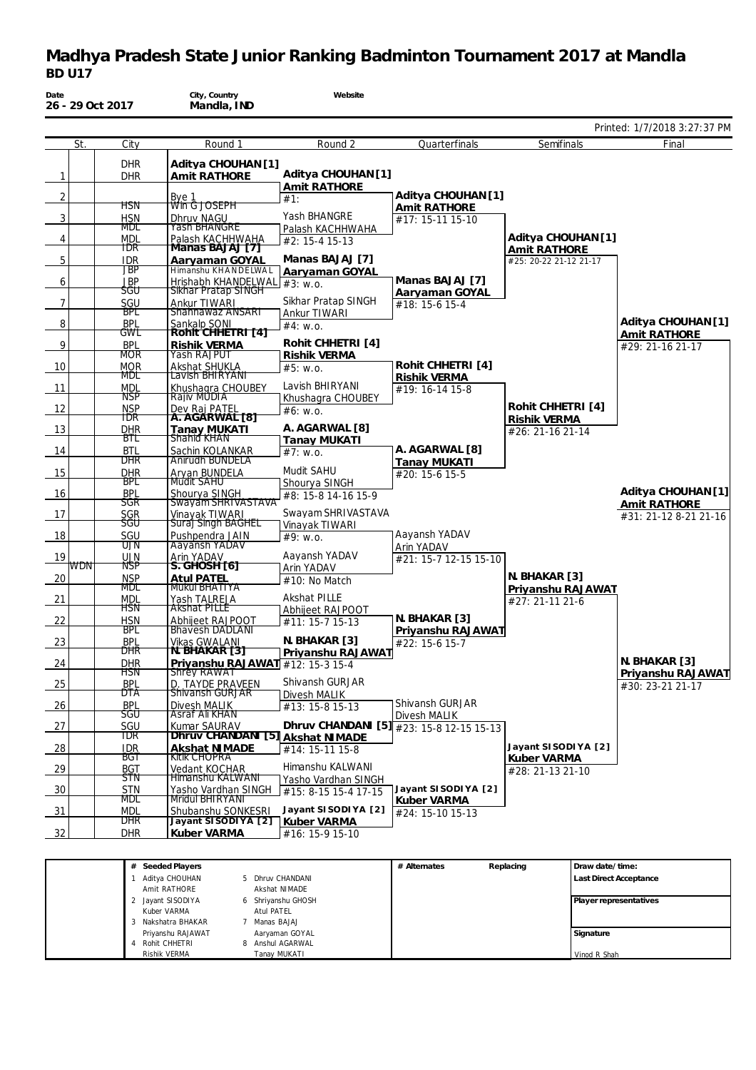| Date<br>26 - 29 Oct 2017 |                          | City, Country<br>Mandla, IND                        | Website                                 |                                          |                                        |                                           |
|--------------------------|--------------------------|-----------------------------------------------------|-----------------------------------------|------------------------------------------|----------------------------------------|-------------------------------------------|
|                          |                          |                                                     |                                         |                                          |                                        | Printed: 1/7/2018 3:27:37 PM              |
| St.                      | City                     | Round 1                                             | Round 2                                 | Quarterfinals                            | Semifinals                             | Final                                     |
|                          | <b>DHR</b>               | Aditya CHOUHAN [1]                                  |                                         |                                          |                                        |                                           |
| 1                        | <b>DHR</b>               | <b>Amit RATHORE</b>                                 | Aditya CHOUHAN [1]<br>Amit RATHORE      |                                          |                                        |                                           |
| $\overline{2}$           |                          | Bye 1                                               | #1:                                     | Aditya CHOUHAN [1]                       |                                        |                                           |
| 3                        | ĦSN<br><b>HSN</b>        | Win G JOSEPH<br>Dhruv_NAGU                          | Yash BHANGRE                            | Amit RATHORE                             |                                        |                                           |
|                          | MDL                      | Yash BHANGRE                                        | Palash KACHHWAHA                        | #17: 15-11 15-10                         |                                        |                                           |
| 4                        | <b>MDL</b><br>TDR        | Palash KACHHWAHA<br>Manas BAJAJ [7]                 | #2: 15-4 15-13                          |                                          | Aditya CHOUHAN [1]                     |                                           |
| 5                        | <b>IDR</b>               | Aaryaman GOYAL                                      | Manas BAJAJ [7]                         |                                          | Amit RATHORE<br>#25: 20-22 21-12 21-17 |                                           |
|                          | JBP                      | Himanshu KHANDELWAL                                 | Aaryaman GOYAL                          |                                          |                                        |                                           |
| 6                        | JBP<br>sgu               | Hrishabh KHANDELWAL #3: w.o.<br>Sikhar Pratap SINGH |                                         | Manas BAJAJ [7]<br>Aaryaman GOYAL        |                                        |                                           |
| $\overline{7}$           | SGU                      | Ankur TIWARI                                        | Sikhar Pratap SINGH                     | #18: 15-6 15-4                           |                                        |                                           |
|                          | BPL                      | Shahnawaz ANSART                                    | Ankur TIWARI                            |                                          |                                        |                                           |
| 8                        | <b>BPL</b><br>GWL        | Sankalp SONI<br>Rohit CHHETRI T41                   | #4: W.0.                                |                                          |                                        | Aditya CHOUHAN [1]<br><b>Amit RATHORE</b> |
| 9                        | <b>BPL</b>               | Rishik VERMA                                        | Rohit CHHETRI [4]                       |                                          |                                        | #29: 21-16 21-17                          |
|                          | <b>MOR</b>               | Yash RAJPUT                                         | Rishik VERMA                            | Rohit CHHETRI [4]                        |                                        |                                           |
| 10                       | <b>MOR</b><br>MDL        | Akshat SHUKLA<br>Lavish BHIRYANI                    | #5: w.o.                                | Rishik VERMA                             |                                        |                                           |
| 11                       | mdl                      | Khushagra CHOUBEY                                   | Lavish BHIRYANI                         | #19: 16-14 15-8                          |                                        |                                           |
| 12                       | NSP<br><b>NSP</b>        | Rajiv MUDIA<br>Dev Raj PATEL                        | Khushagra CHOUBEY                       |                                          | Rohit CHHETRI [4]                      |                                           |
|                          | TDR                      | A. AGARWAL [8]                                      | #6: W.0.                                |                                          | Rishik VERMA                           |                                           |
| 13                       | <b>DHR</b><br>ВΤС        | Tanay MUKATI<br>Shahid KHAN                         | A. AGARWAL [8]                          |                                          | #26: 21-16 21-14                       |                                           |
| 14                       | <b>BTL</b>               | Sachin KOLANKAR                                     | Tanay MUKATI<br>#7: W.0.                | A. AGARWAL [8]                           |                                        |                                           |
|                          | DHR                      | Anirudh BUNDELA                                     |                                         | <b>Tanay MUKATI</b>                      |                                        |                                           |
| 15                       | <b>DHR</b><br>BPL        | Aryan BUNDELA<br>Mudit SAHU                         | Mudit SAHU<br>Shourya SINGH             | #20: 15-6 15-5                           |                                        |                                           |
| 16                       | <b>BPL</b>               | Shourya SINGH                                       | #8: 15-8 14-16 15-9                     |                                          |                                        | Aditya CHOUHAN [1]                        |
|                          | SGR                      | Swayam SHRIVASTAVA                                  | Swayam SHRIVASTAVA                      |                                          |                                        | Amit RATHORE                              |
| 17                       | <b>SGR</b><br>ᢒᡦ᠋        | Vinayak TIWARI<br>Suraj Singh BAGHEL                | Vinayak TIWARI                          |                                          |                                        | #31: 21-12 8-21 21-16                     |
| 18                       | SGU                      | Pushpendra JAIN                                     | #9: w.o.                                | Aayansh YADAV                            |                                        |                                           |
| 19                       | UJN<br><b>UJN</b>        | Aayansh YADAV<br>Arin YADAV                         | Aayansh YADAV                           | Arin YADAV                               |                                        |                                           |
| WDN                      | NSP                      | S. GHOSH [6]                                        | Arin YADAV                              | #21: 15-7 12-15 15-10                    |                                        |                                           |
| 20                       | <b>NSP</b><br>MDL        | <b>Atul PATEL</b><br>Mukul BHATIYA                  | #10: No Match                           |                                          | N. BHAKAR [3]                          |                                           |
| 21                       | mdl                      | Yash TALREJA                                        | Akshat PILLE                            |                                          | Priyanshu RAJAWAT<br>#27: 21-11 21-6   |                                           |
|                          | ĦSN                      | Akshat PILLE                                        | Abhijeet RAJPOOT                        |                                          |                                        |                                           |
| 22                       | <b>HSN</b><br><b>BPL</b> | Abhijeet RAJPOOT<br><b>Bhavesh DADLANI</b>          | $#11: 15 - 715 - 13$                    | N. BHAKAR [3]<br>Priyanshu RAJAWAT       |                                        |                                           |
| 23                       | <b>BPL</b>               | Vikas GWALANI                                       | N. BHAKAR [3]                           | #22: 15-6 15-7                           |                                        |                                           |
|                          | DHR                      | <u>N. BHAKAR [3]</u>                                | Priyanshu RAJAWAT                       |                                          |                                        | N. BHAKAR [3]                             |
| 24                       | <b>DHR</b><br>ĦŚÑ        | Priyanshu RAJAWAT #12: 15-3 15-4<br>Shrey RAWAT     |                                         |                                          |                                        | Priyanshu RAJAWAT                         |
| 25                       | <b>BPL</b>               | D. TAYDE PRAVEEN                                    | Shivansh GURJAR                         |                                          |                                        | #30: 23-21 21-17                          |
| 26                       | DTA<br><b>BPL</b>        | Shivansh GURJAR<br>Divesh MALIK                     | <b>Divesh MALIK</b><br>#13: 15-8 15-13  | Shivansh GURJAR                          |                                        |                                           |
|                          | ᢒᡦ᠋                      | Asraf All KHAN                                      |                                         | Divesh MALIK                             |                                        |                                           |
| 27                       | SGU<br>TDR               | Kumar SAURAV<br>Dhruv CHANDANI [5] Akshat NIMADE    |                                         | Dhruv CHANDANI [5] #23: 15-8 12-15 15-13 |                                        |                                           |
| 28                       | <b>IDR</b>               | Akshat NIMADE                                       | #14: 15-11 15-8                         |                                          | Jayant SISODIYA [2]                    |                                           |
|                          | छटा                      | Kitik CHOPRA                                        |                                         |                                          | Kuber VARMA                            |                                           |
| 29                       | <b>BGT</b><br>SIN        | Vedant KOCHAR<br><u>Himanshu KALWANT</u>            | Himanshu KALWANI<br>Yasho Vardhan SINGH |                                          | #28: 21-13 21-10                       |                                           |
| 30                       | <b>STN</b>               | Yasho Vardhan SINGH                                 | #15: 8-15 15-4 17-15                    | Jayant SISODIYA [2]                      |                                        |                                           |
|                          | MDL                      | Mridul BHIRYANI                                     | Jayant SISODIYA [2]                     | Kuber VARMA                              |                                        |                                           |
| 31                       | mdl<br>DHR <sup>.</sup>  | Shubanshu SONKESRI<br>Jayant SISODIYA [2]           | Kuber VARMA                             | #24: 15-10 15-13                         |                                        |                                           |
| 32                       | <b>DHR</b>               | Kuber VARMA                                         | #16: 15-9 15-10                         |                                          |                                        |                                           |
|                          |                          |                                                     |                                         |                                          |                                        |                                           |

| Seeded Players<br># |                    | # Alternates | Replacing | Draw date/time:        |
|---------------------|--------------------|--------------|-----------|------------------------|
| Aditya CHOUHAN      | 5 Dhruv CHANDANI   |              |           | Last Direct Acceptance |
| Amit RATHORE        | Akshat NIMADE      |              |           |                        |
| Jayant SISODIYA     | 6 Shriyanshu GHOSH |              |           | Player representatives |
| Kuber VARMA         | Atul PATEL         |              |           |                        |
| 3 Nakshatra BHAKAR  | Manas BAJAJ        |              |           |                        |
| Priyanshu RAJAWAT   | Aaryaman GOYAL     |              |           | Signature              |
| Rohit CHHETRI       | 8 Anshul AGARWAL   |              |           |                        |
| Rishik VERMA        | Tanav MUKATI       |              |           | Vinod R Shah           |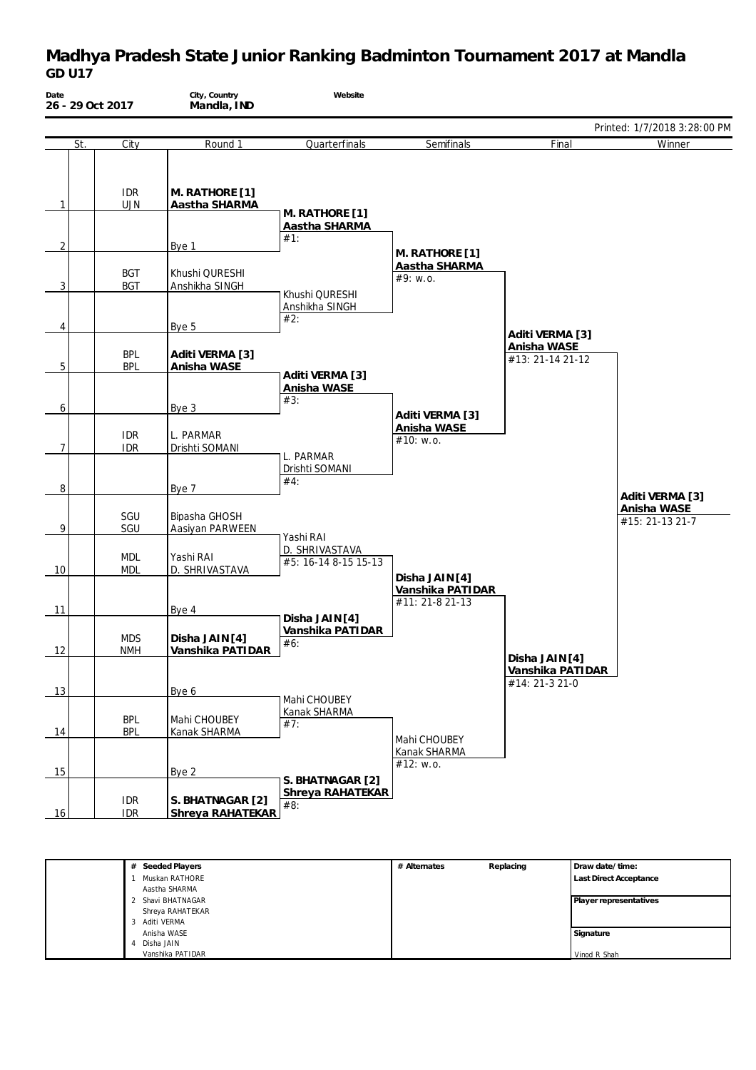| Date<br>26 - 29 Oct 2017 |                          | City, Country<br>Mandla, IND         | Website                                     |                                     |                                    |                                |
|--------------------------|--------------------------|--------------------------------------|---------------------------------------------|-------------------------------------|------------------------------------|--------------------------------|
|                          |                          |                                      |                                             |                                     |                                    | Printed: 1/7/2018 3:28:00 PM   |
| St.                      | City                     | Round 1                              | Quarterfinals                               | Semifinals                          | Final                              | Winner                         |
| $\mathbf{1}$             | <b>IDR</b><br>UJN        | M. RATHORE [1]<br>Aastha SHARMA      | M. RATHORE [1]                              |                                     |                                    |                                |
| $\overline{2}$           |                          | Bye 1                                | Aastha SHARMA<br>#1:                        | M. RATHORE [1]                      |                                    |                                |
| 3                        | <b>BGT</b><br><b>BGT</b> | Khushi QURESHI<br>Anshikha SINGH     | Khushi QURESHI                              | Aastha SHARMA<br>#9: w.o.           |                                    |                                |
| 4                        |                          | Bye 5                                | Anshikha SINGH<br>#2:                       |                                     | Aditi VERMA [3]                    |                                |
| 5                        | <b>BPL</b><br><b>BPL</b> | Aditi VERMA [3]<br>Anisha WASE       | Aditi VERMA [3]                             |                                     | Anisha WASE<br>#13: 21-14 21-12    |                                |
| 6                        |                          | Bye 3                                | Anisha WASE<br>#3:                          | Aditi VERMA [3]                     |                                    |                                |
| 7                        | <b>IDR</b><br><b>IDR</b> | L. PARMAR<br>Drishti SOMANI          | L. PARMAR                                   | Anisha WASE<br>#10: w.o.            |                                    |                                |
| 8                        |                          | Bye 7                                | Drishti SOMANI<br>#4:                       |                                     |                                    | Aditi VERMA [3]                |
| 9                        | SGU<br>SGU               | Bipasha GHOSH<br>Aasiyan PARWEEN     | Yashi RAI                                   |                                     |                                    | Anisha WASE<br>#15: 21-13 21-7 |
| 10                       | <b>MDL</b><br><b>MDL</b> | Yashi RAI<br>D. SHRIVASTAVA          | D. SHRIVASTAVA<br>#5: 16-14 8-15 15-13      | Disha JAIN [4]                      |                                    |                                |
| 11                       |                          | Bye 4                                | Disha JAIN [4]                              | Vanshika PATIDAR<br>#11: 21-8 21-13 |                                    |                                |
| 12                       | <b>MDS</b><br><b>NMH</b> | Disha JAIN [4]<br>Vanshika PATIDAR   | Vanshika PATIDAR<br>#6:                     |                                     | Disha JAIN [4]                     |                                |
| 13                       |                          | Bye 6                                | Mahi CHOUBEY                                |                                     | Vanshika PATIDAR<br>#14: 21-3 21-0 |                                |
| 14                       | <b>BPL</b><br><b>BPL</b> | Mahi CHOUBEY<br>Kanak SHARMA         | Kanak SHARMA<br>#7:                         | Mahi CHOUBEY                        |                                    |                                |
| 15                       |                          | Bye 2                                |                                             | Kanak SHARMA<br>#12: w.o.           |                                    |                                |
| 16                       | <b>IDR</b><br><b>IDR</b> | S. BHATNAGAR [2]<br>Shreya RAHATEKAR | S. BHATNAGAR [2]<br>Shreya RAHATEKAR<br>#8: |                                     |                                    |                                |

| # Seeded Players  | # Alternates | Replacing | Draw date/time:        |
|-------------------|--------------|-----------|------------------------|
| Muskan RATHORE    |              |           | Last Direct Acceptance |
| Aastha SHARMA     |              |           |                        |
| 2 Shavi BHATNAGAR |              |           | Player representatives |
| Shreya RAHATEKAR  |              |           |                        |
| 3 Aditi VERMA     |              |           |                        |
| Anisha WASE       |              |           | Signature              |
| Disha JAIN        |              |           |                        |
| Vanshika PATIDAR  |              |           | Vinod R Shah           |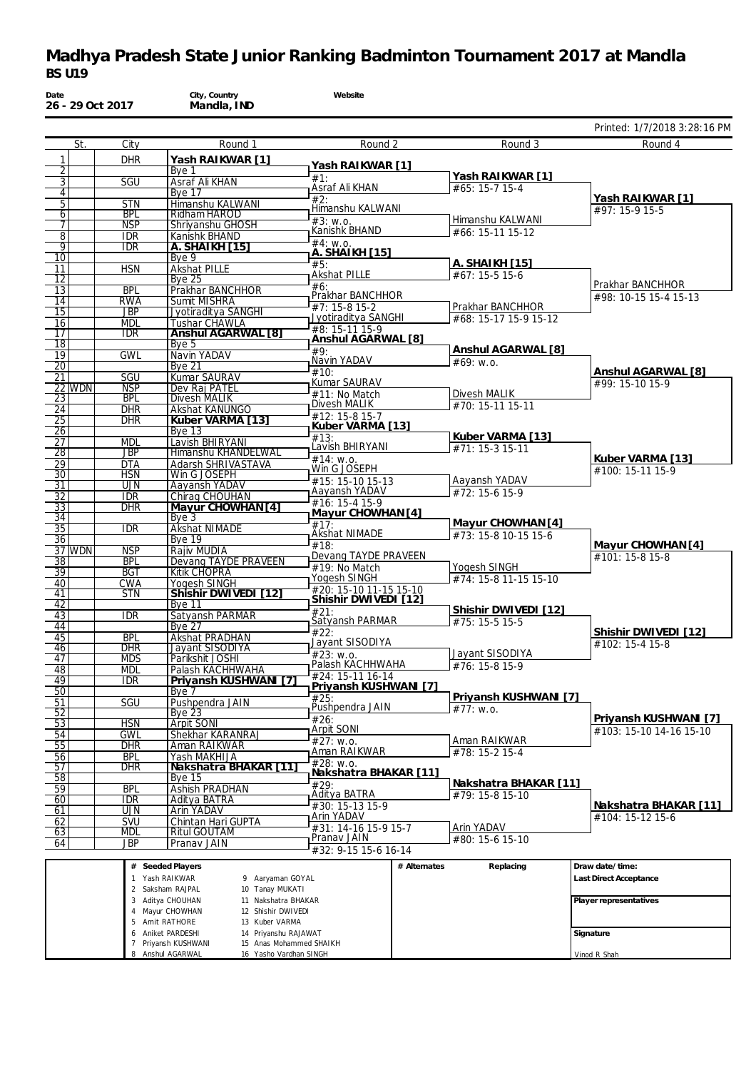| Date                               |        | 26 - 29 Oct 2017         | City, Country<br>Mandla, IND                                            | Website                               |              |                                           |                                                  |
|------------------------------------|--------|--------------------------|-------------------------------------------------------------------------|---------------------------------------|--------------|-------------------------------------------|--------------------------------------------------|
|                                    |        |                          |                                                                         |                                       |              |                                           | Printed: 1/7/2018 3:28:16 PM                     |
|                                    | St.    | City                     | Round 1                                                                 | Round 2                               |              | Round 3                                   | Round 4                                          |
| 1                                  |        | <b>DHR</b>               | Yash RAIKWAR [1]                                                        | Yash RAIKWAR [1]                      |              |                                           |                                                  |
| $\overline{2}$                     |        | SGU                      | Bye 1<br>Asraf Ali KHAN                                                 | #1:                                   |              | Yash RAIKWAR [1]                          |                                                  |
| $\overline{3}$<br>$\overline{4}$   |        |                          | Bye 17                                                                  | Asraf Ali KHAN                        |              | #65: 15-7 15-4                            |                                                  |
| $\overline{5}$                     |        | <b>STN</b>               | Himanshu KALWANI                                                        | #2:<br>Himanshu KALWANI               |              |                                           | Yash RAIKWAR [1]<br>#97: 15-9 15-5               |
| $\overline{6}$<br>7                |        | <b>BPL</b><br><b>NSP</b> | Ridham HAROD<br>Shriyanshu GHOSH                                        | #3: w.o.                              |              | Himanshu KALWANI                          |                                                  |
| 8                                  |        | <b>IDR</b>               | Kanishk BHAND                                                           | Kanishk BHAND                         |              | #66: 15-11 15-12                          |                                                  |
| 9                                  |        | IDR                      | A. SHAIKH [15]                                                          | #4: W.0.<br>A. SHAIKH [15]            |              |                                           |                                                  |
| 10<br>11                           |        | <b>HSN</b>               | Bye 9<br><b>Akshat PILLE</b>                                            | #5:                                   |              | A. SHAIKH [15]                            |                                                  |
| 12                                 |        |                          | Bye $25$                                                                | <b>Akshat PILLE</b>                   |              | #67: 15-5 15-6                            | Prakhar BANCHHOR                                 |
| 13                                 |        | <b>BPL</b><br><b>RWA</b> | Prakhar BANCHHOR                                                        | #6:<br>Prakhar BANCHHOR               |              |                                           | #98: 10-15 15-4 15-13                            |
| 14<br>$\overline{15}$              |        | <b>JBP</b>               | Sumit MISHRA<br>Jyotiraditya SANGHI                                     | #7: 15-8 15-2                         |              | Prakhar BANCHHOR                          |                                                  |
| 16                                 |        | <b>MDL</b>               | <b>Tushar CHAWLA</b>                                                    | Jyotiraditya SANGHI<br>#8: 15-11 15-9 |              | #68: 15-17 15-9 15-12                     |                                                  |
| $\overline{17}$<br>18              |        | <b>IDR</b>               | Anshul AGARWAL [8]<br>Bye 5                                             | Anshul AGARWAL [8]                    |              |                                           |                                                  |
| 19                                 |        | <b>GWL</b>               | Navin YADAV                                                             | #9:                                   |              | Anshul AGARWAL [8]                        |                                                  |
| $\overline{20}$                    |        |                          | <b>Bye 21</b>                                                           | Navin YADAV<br>#10:                   |              | $#69:$ W.O.                               | Anshul AGARWAL [8]                               |
| 21                                 | 22 WDN | SGU<br><b>NSP</b>        | Kumar SAURAV<br>Dev Raj PATEL                                           | Kumar SAURAV                          |              |                                           | #99: 15-10 15-9                                  |
| 23                                 |        | <b>BPL</b>               | <b>Divesh MALIK</b>                                                     | #11: No Match                         |              | Divesh MALIK                              |                                                  |
| 24                                 |        | <b>DHR</b>               | Akshat KANUNGO                                                          | Divesh MALIK<br>$#12: 15-815-7$       |              | #70: 15-11 15-11                          |                                                  |
| $\overline{25}$<br>26              |        | <b>DHR</b>               | Kuber VARMA [13]<br>Bye 13                                              | Kuber VARMA [13]                      |              |                                           |                                                  |
| 27                                 |        | <b>MDL</b>               | Lavish BHIRYANI                                                         | #13:<br>Lavish BHIRYANI               |              | Kuber VARMA [13]<br>#71: 15-3 15-11       |                                                  |
| $\overline{28}$                    |        | <b>JBP</b>               | Himanshu KHANDELWAL                                                     | $\overline{\#14}$ : w.o.              |              |                                           | Kuber VARMA [13]                                 |
| $\overline{29}$<br>30              |        | <b>DTA</b><br><b>HSN</b> | Adarsh SHRIVASTAVA<br>Win G JOSEPH                                      | Win G JOSEPH                          |              |                                           | #100: 15-11 15-9                                 |
| 31                                 |        | UJN                      | Aayansh YADAV                                                           | #15: 15-10 15-13<br>Aayansh YADAV     |              | Aayansh YADAV<br>#72: 15-6 15-9           |                                                  |
| 32<br>33                           |        | <b>IDR</b><br><b>DHR</b> | Chirag CHOUHAN<br>Mayur CHOWHAN [4]                                     | #16: 15-4 15-9                        |              |                                           |                                                  |
| $\overline{34}$                    |        |                          | Bye3                                                                    | Mayur CHOWHAN [4]                     |              |                                           |                                                  |
| 35                                 |        | <b>IDR</b>               | <b>Akshat NIMADE</b>                                                    | #17:<br>Akshat NIMADE                 |              | Mayur CHOWHAN [4]<br>#73: 15-8 10-15 15-6 |                                                  |
| 36                                 | 37 WDN | <b>NSP</b>               | Bye $19$<br>Rajiv MUDIA                                                 | #18:                                  |              |                                           | Mayur CHOWHAN [4]                                |
| 38                                 |        | <b>BPL</b>               | <b>Devang TAYDE PRAVEEN</b>                                             | Devang TAYDE PRAVEEN<br>#19: No Match |              | Yogesh SINGH                              | #101: 15-8 15-8                                  |
| $\overline{39}$                    |        | <b>BGT</b>               | <b>Kitik CHOPRA</b>                                                     | Yogesh SINGH                          |              | #74: 15-8 11-15 15-10                     |                                                  |
| 40<br>41                           |        | <b>CWA</b><br><b>STN</b> | Yogesh SINGH<br>Shishir DWIVEDI [12]                                    | #20: 15-10 11-15 15-10                |              |                                           |                                                  |
| 42                                 |        |                          | Bye 11                                                                  | Shishir DWIVEDI [12]<br>#21:          |              | Shishir DWIVEDI [12]                      |                                                  |
| 43<br>44                           |        | <b>IDR</b>               | Satyansh PARMAR<br>Bye $27$                                             | Satyansh PARMAR                       |              | #75: 15-5 15-5                            |                                                  |
| 45                                 |        | <b>BPL</b>               | <b>Akshat PRADHAN</b>                                                   | #22:                                  |              |                                           | Shishir DWIVEDI [12]                             |
| 46                                 |        | <b>DHR</b>               | Jayant SISODIYA                                                         | Jayant SISODIYA<br>#23: w.o.          |              | Jayant SISODIYA                           | #102: 15-4 15-8                                  |
| 47<br>48                           |        | <b>MDS</b><br><b>MDL</b> | Parikshit JOSHI<br>Palash KACHHWAHA                                     | Palash KACHHWAHA                      |              | #76: 15-8 15-9                            |                                                  |
| 49                                 |        | <b>IDR</b>               | Priyansh KUSHWANI [7]                                                   | #24: 15-11 16-14                      |              |                                           |                                                  |
| 50                                 |        |                          | Bye 7                                                                   | Priyansh KUSHWANI [7]<br>#25:         |              | Priyansh KUSHWANI [7]                     |                                                  |
| 51<br>52                           |        | SGU                      | Pushpendra JAIN<br>Bye $23$                                             | Pushpendra JAIN                       |              | #77: w.o.                                 |                                                  |
| $\overline{53}$                    |        | <b>HSN</b>               | <b>Arpit SONI</b>                                                       | #26:<br>Arpit SONI                    |              |                                           | Priyansh KUSHWANI [7]<br>#103: 15-10 14-16 15-10 |
| 54<br>55                           |        | <b>GWL</b><br><b>DHR</b> | Shekhar KARANRAJ<br>Aman RAIKWAR                                        | #27: w.o.                             |              | Aman RAIKWAR                              |                                                  |
| 56                                 |        | <b>BPL</b>               | Yash MAKHIJA                                                            | Aman RAIKWAR                          |              | #78: 15-2 15-4                            |                                                  |
| 57                                 |        | $\overline{DHR}$         | Nakshatra BHAKAR [11]                                                   | #28: w.o.<br>Nakshatra BHAKAR [11]    |              |                                           |                                                  |
| $\overline{58}$<br>$\overline{59}$ |        | <b>BPL</b>               | Bye 15<br><b>Ashish PRADHAN</b>                                         | #29:                                  |              | Nakshatra BHAKAR [11]                     |                                                  |
| 60                                 |        | idr                      | Aditya BATRA                                                            | Aditya BATRA                          |              | #79: 15-8 15-10                           |                                                  |
| 61                                 |        | <b>UJN</b>               | Arin YADAV                                                              | #30: 15-13 15-9<br>Arin YADAV         |              |                                           | Nakshatra BHAKAR [11]<br>#104: 15-12 15-6        |
| 62<br>63                           |        | SVU<br><b>MDL</b>        | Chintan Hari GUPTA<br>Ritul GOUTAM                                      | #31: 14-16 15-9 15-7                  |              | Arin YADAV                                |                                                  |
| 64                                 |        | JBP                      | Pranav JAIN                                                             | Pranav JAIN                           |              | #80: 15-6 15-10                           |                                                  |
|                                    |        |                          |                                                                         | #32: 9-15 15-6 16-14                  |              |                                           |                                                  |
|                                    |        |                          | # Seeded Players                                                        |                                       | # Alternates | Replacing                                 | Draw date/time:                                  |
|                                    |        | $\mathbf{1}$             | Yash RAIKWAR<br>9 Aaryaman GOYAL<br>2 Saksham RAJPAL<br>10 Tanay MUKATI |                                       |              |                                           | Last Direct Acceptance                           |
|                                    |        |                          | 3 Aditya CHOUHAN<br>11 Nakshatra BHAKAR                                 |                                       |              |                                           | Player representatives                           |
|                                    |        | 5 Amit RATHORE           | 4 Mayur CHOWHAN<br>12 Shishir DWIVEDI<br>13 Kuber VARMA                 |                                       |              |                                           |                                                  |
|                                    |        | 6                        | Aniket PARDESHI<br>14 Priyanshu RAJAWAT                                 |                                       |              |                                           | Signature                                        |
|                                    |        |                          | 7 Priyansh KUSHWANI<br>15 Anas Mohammed SHAIKH                          |                                       |              |                                           |                                                  |
|                                    |        |                          | 8 Anshul AGARWAL<br>16 Yasho Vardhan SINGH                              |                                       |              |                                           | Vinod R Shah                                     |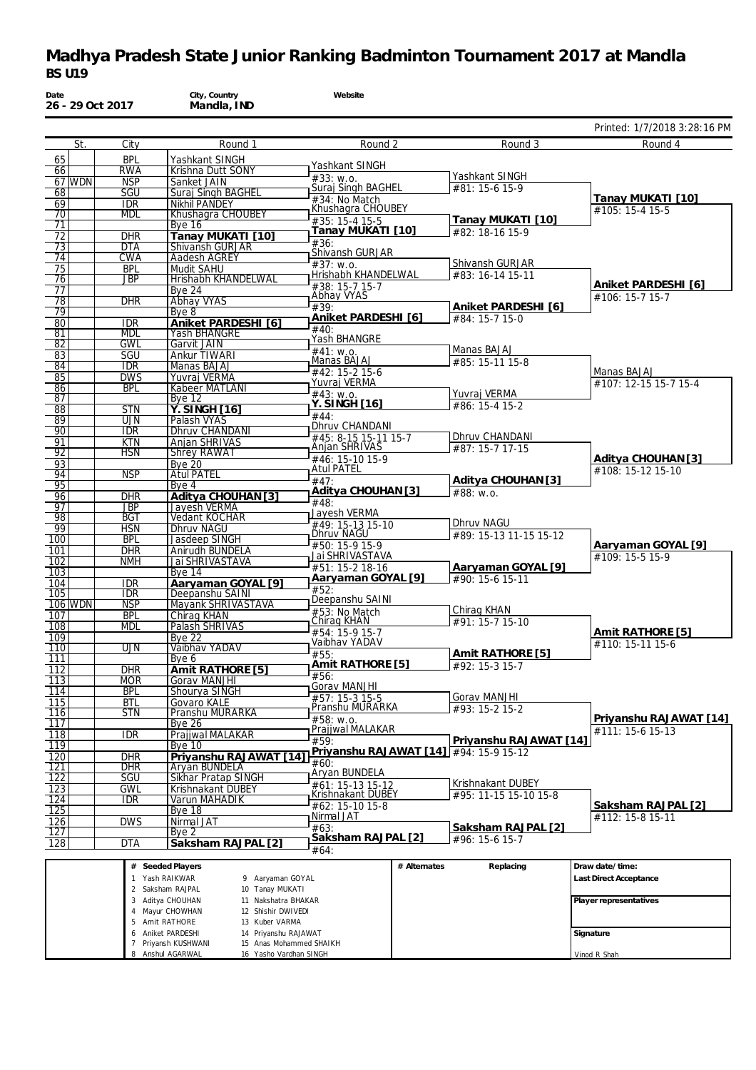| Date                                 | 26 - 29 Oct 2017         | City, Country<br>Mandla, IND                              | Website                                 |                                                                  |                                      |
|--------------------------------------|--------------------------|-----------------------------------------------------------|-----------------------------------------|------------------------------------------------------------------|--------------------------------------|
|                                      |                          |                                                           |                                         |                                                                  | Printed: 1/7/2018 3:28:16 PM         |
| St.                                  | City                     | Round 1                                                   | Round 2                                 | Round 3                                                          | Round 4                              |
| 65                                   | <b>BPL</b>               | Yashkant SINGH                                            | Yashkant SINGH                          |                                                                  |                                      |
| 66                                   | <b>RWA</b>               | Krishna Dutt SONY                                         | #33: w.o.                               | Yashkant SINGH                                                   |                                      |
| 67 WDN<br>68                         | <b>NSP</b><br>SGU        | Sanket JAIN<br>Suraj Singh BAGHEL                         | Suraj Singh BAGHEL                      | #81: 15-6 15-9                                                   |                                      |
| 69                                   | <b>IDR</b>               | Nikhil PANDEY                                             | #34: No Match                           |                                                                  | Tanay MUKATI [10]                    |
| 70                                   | MDL                      | Khushagra CHOUBEY                                         | Khushagra CHOUBEY<br>#35: 15-4 15-5     | Tanay MUKATI [10]                                                | #105: 15-4 15-5                      |
| 71<br>72                             |                          | Bye 16                                                    | Tanay MUKATI [10]                       | #82: 18-16 15-9                                                  |                                      |
| 73                                   | <b>DHR</b><br><b>DTA</b> | Tanay MUKATI [10]<br>Shivansh GURJAR                      | #36:                                    |                                                                  |                                      |
| 74                                   | CWA                      | Aadesh AGREY                                              | Shivansh GURJAR                         | Shivansh GURJAR                                                  |                                      |
| 75                                   | <b>BPL</b>               | Mudit SAHU                                                | #37: w.o.<br>Hrishabh KHANDELWAL        | #83: 16-14 15-11                                                 |                                      |
| 76<br>77                             | <b>JBP</b>               | Hrishabh KHANDELWAL<br><b>Bye 24</b>                      | #38: 15-7 15-7                          |                                                                  | Aniket PARDESHI [6]                  |
| 78                                   | DHR                      | <b>Abhay VYAS</b>                                         | Abhay VYAS                              |                                                                  | #106: 15-7 15-7                      |
| 79                                   |                          | Bye 8                                                     | #39:                                    | Aniket PARDESHI [6]                                              |                                      |
| 80                                   | <b>IDR</b>               | Aniket PARDESHI [6]                                       | Aniket PARDESHI [6]<br>#40:             | #84: 15-7 15-0                                                   |                                      |
| 81<br>$\overline{82}$                | <b>MDL</b><br>GWL        | Yash BHANGRE<br>Garvit JAIN                               | Yash BHANGRE                            |                                                                  |                                      |
| 83                                   | SGU                      | Ankur TIWARI                                              | $\overline{\#41}$ : W.O.                | Manas BAJAJ                                                      |                                      |
| 84                                   | <b>IDR</b>               | Manas BAJAJ                                               | Manas BAJAJ<br>#42: 15-2 15-6           | #85: 15-11 15-8                                                  | Manas BAJAJ                          |
| 85                                   | <b>DWS</b>               | Yuvraj VERMA                                              | Yuvraj VERMA                            |                                                                  | #107: 12-15 15-7 15-4                |
| 86<br>$\overline{87}$                | <b>BPL</b>               | Kabeer MATLANI<br><b>Bye 12</b>                           | #43: w.o.                               | Yuvraj VERMA                                                     |                                      |
| $\overline{88}$                      | <b>STN</b>               | Y. SINGH [16]                                             | Y. SINGH [16]                           | #86: 15-4 15-2                                                   |                                      |
| 89                                   | UJN                      | Palash WAS                                                | #44:                                    |                                                                  |                                      |
| 90                                   | <b>IDR</b>               | Dhruv CHANDANI                                            | Dhruv CHANDANI<br>#45: 8-15 15-11 15-7  | Dhruv CHANDANI                                                   |                                      |
| 91<br>92                             | <b>KTN</b><br><b>HSN</b> | <b>Anian SHRIVAS</b>                                      | Anjan SHRIVAS                           | #87: 15-7 17-15                                                  |                                      |
| 93                                   |                          | <b>Shrey RAWAT</b><br><b>Bye 20</b>                       | #46: 15-10 15-9                         |                                                                  | Aditya CHOUHAN [3]                   |
| 94                                   | <b>NSP</b>               | <b>Atul PATEL</b>                                         | <b>Atul PATEL</b>                       |                                                                  | #108: 15-12 15-10                    |
| 95                                   |                          | Bye 4                                                     | #47:<br>Aditya CHOUHAN [3]              | Aditya CHOUHAN [3]<br>#88: w.o.                                  |                                      |
| 96<br>97                             | <b>DHR</b><br><b>JBP</b> | Aditya CHOUHAN [3]<br>Jayesh VERMA                        | #48:                                    |                                                                  |                                      |
| 98                                   | <b>BGT</b>               | Vedant KOCHAR                                             | Jayesh VERMA                            |                                                                  |                                      |
| $\overline{99}$                      | <b>HSN</b>               | Dhruv NAGU                                                | #49: 15-13 15-10<br>Dhruv NAGU          | Dhruv NAGU                                                       |                                      |
| 100                                  | <b>BPL</b>               | Jasdeep SINGH                                             | #50: 15-9 15-9                          | #89: 15-13 11-15 15-12                                           | Aaryaman GOYAL [9]                   |
| 101<br>$\overline{102}$              | <b>DHR</b><br><b>NMH</b> | Anirudh BUNDELA<br>Jai SHRIVASTAVA                        | Jai SHRIVASTAVA                         |                                                                  | #109: 15-5 15-9                      |
| 103                                  |                          | Bye14                                                     | #51: 15-2 18-16                         | Aaryaman GOYAL [9]                                               |                                      |
| 104                                  | <b>IDR</b>               | Aaryaman GOYAL [9]                                        | Aaryaman GOYAL [9]<br>#52:              | #90: 15-6 15-11                                                  |                                      |
| 105                                  | <b>IDR</b>               | Deepanshu SAINI                                           | Deepanshu SAINI                         |                                                                  |                                      |
| 106 WDN<br>107                       | <b>NSP</b><br><b>BPL</b> | Mayank SHRIVASTAVA<br>Chirag KHAN                         | $#53:$ No Match                         | Chirag KHAN                                                      |                                      |
| 108                                  | <b>MDL</b>               | Palash SHRIVAS                                            | Chirag KHAN                             | #91: 15-7 15-10                                                  |                                      |
| 109                                  |                          | <b>Bye 22</b>                                             | $#54: 15-915-7$<br>Vaibhav YADAV        |                                                                  | Amit RATHORE [5]<br>#110: 15-11 15-6 |
| 110                                  | UJN                      | Vaibhav YADAV                                             | #55:                                    | Amit RATHORE [5]                                                 |                                      |
| $\overline{111}$<br>112              | <b>DHR</b>               | Bye 6<br>Amit RATHORE [5]                                 | Amit RATHORE [5]                        | #92: 15-3 15-7                                                   |                                      |
| $\overline{113}$                     | MOR.                     | Gorav MANJHI                                              | #56:                                    |                                                                  |                                      |
| $\overline{114}$                     | <b>BPL</b>               | Shourya SINGH                                             | Gorav MANJHI<br>#57: 15-3 15-5          | <b>Gorav MANJHI</b>                                              |                                      |
| $\overline{115}$                     | <b>BTL</b>               | <b>Govaro KALE</b><br>Pranshu MURARKA                     | Pranshu MURARKA                         | #93: 15-2 15-2                                                   |                                      |
| 116<br>117                           | <b>STN</b>               | Bye 26                                                    | #58: w.o.                               |                                                                  | Priyanshu RAJAWAT [14]               |
| $\overline{118}$                     | IDR                      | Prajjwal MALAKAR                                          | Prajjwal MALAKAR                        |                                                                  | #111: 15-6 15-13                     |
| 119                                  |                          | Bye 10                                                    | #59:                                    | Priyanshu RAJAWAT [14]<br>Priyanshu RAJAWAT [14] #94: 15-9 15-12 |                                      |
| $\overline{120}$<br>$\overline{121}$ | <b>DHR</b>               | Priyanshu RAJAWAT [14]                                    | #60:                                    |                                                                  |                                      |
| $\overline{122}$                     | <b>DHR</b><br>SGU        | Aryan BUNDELA<br><b>Sikhar Pratap SINGH</b>               | Aryan BUNDELA                           |                                                                  |                                      |
| 123                                  | GWL                      | Krishnakant DUBEY                                         | $#61: 15-13$ 15-12<br>Krishnakant DUBEY | Krishnakant DUBEY                                                |                                      |
| 124                                  | <b>IDR</b>               | Varun MAHADIK                                             | #62: 15-10 15-8                         | #95: 11-15 15-10 15-8                                            | Saksham RAJPAL [2]                   |
| 125                                  | <b>DWS</b>               | Bye 18                                                    | Nirmal JAT                              |                                                                  | #112: 15-8 15-11                     |
| 126<br>127                           |                          | Nirmal JAT<br>Bye 2                                       | #63:                                    | Saksham RAJPAL [2]                                               |                                      |
| 128                                  | <b>DTA</b>               | Saksham RAJPAL [2]                                        | Saksham RAJPAL [2]<br>#64:              | #96: 15-6 15-7                                                   |                                      |
|                                      |                          | # Seeded Players                                          |                                         | # Alternates<br>Replacing                                        | Draw date/time:                      |
|                                      | $\mathbf{1}$             | 9 Aaryaman GOYAL<br>Yash RAIKWAR                          |                                         |                                                                  | Last Direct Acceptance               |
|                                      |                          | 2 Saksham RAJPAL<br>10 Tanay MUKATI                       |                                         |                                                                  |                                      |
|                                      |                          | 3 Aditya CHOUHAN<br>11 Nakshatra BHAKAR                   |                                         |                                                                  | Player representatives               |
|                                      |                          | 4 Mayur CHOWHAN<br>12 Shishir DWIVEDI<br>5 Amit RATHORE   |                                         |                                                                  |                                      |
|                                      | 6                        | 13 Kuber VARMA<br>Aniket PARDESHI<br>14 Priyanshu RAJAWAT |                                         |                                                                  | Signature                            |
|                                      |                          | 7 Priyansh KUSHWANI<br>15 Anas Mohammed SHAIKH            |                                         |                                                                  |                                      |
|                                      |                          | 8 Anshul AGARWAL<br>16 Yasho Vardhan SINGH                |                                         |                                                                  | Vinod R Shah                         |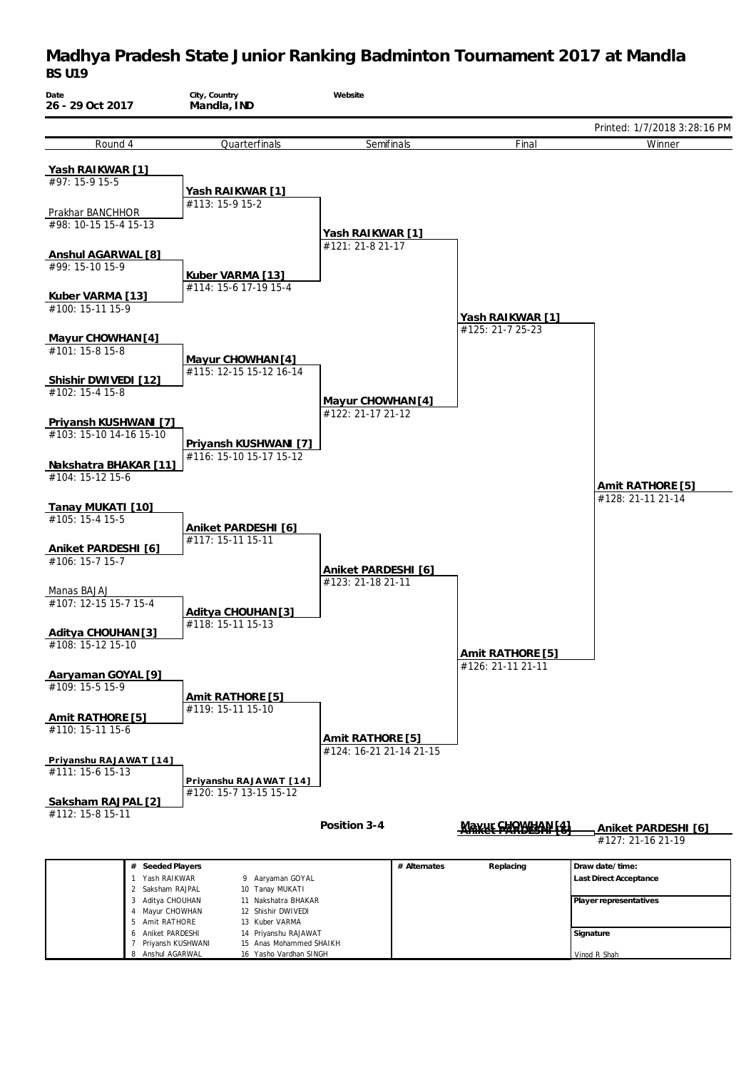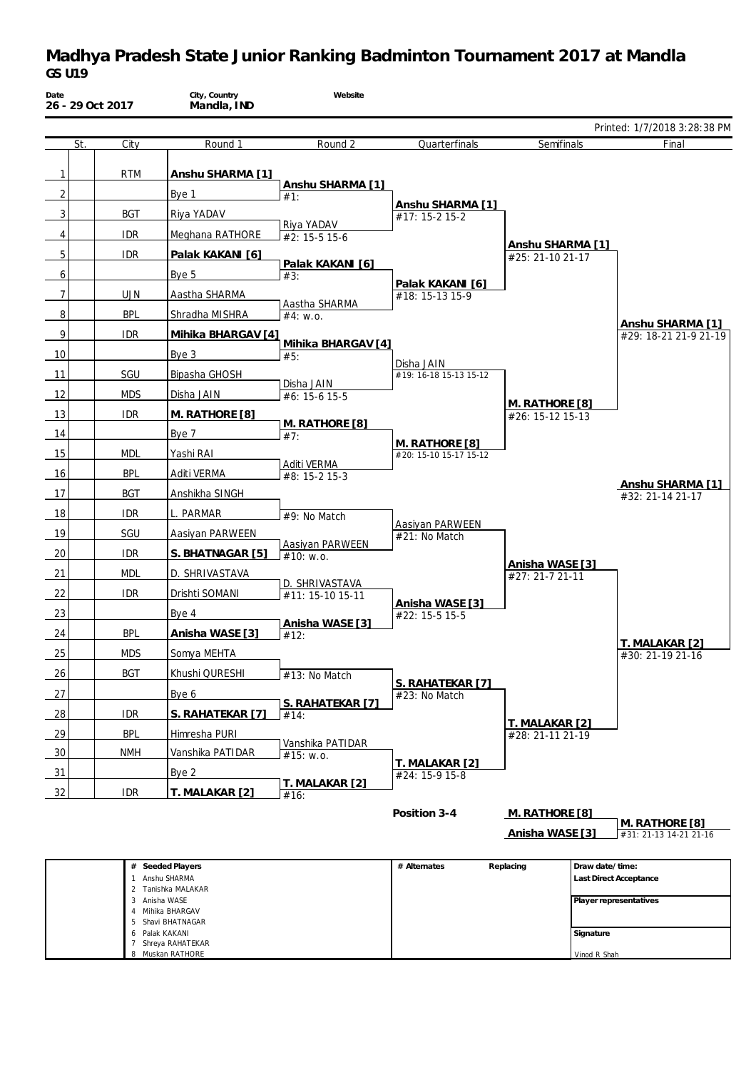| Date<br>26 - 29 Oct 2017       |                          | City, Country<br>Mandla, IND           | Website                             |                                          |                                      |                                           |
|--------------------------------|--------------------------|----------------------------------------|-------------------------------------|------------------------------------------|--------------------------------------|-------------------------------------------|
|                                |                          |                                        |                                     |                                          |                                      | Printed: 1/7/2018 3:28:38 PM              |
| St.                            | City                     | Round 1                                | Round 2                             | Quarterfinals                            | Semifinals                           | Final                                     |
| $\mathbf{1}$<br>$\overline{2}$ | <b>RTM</b>               | Anshu SHARMA [1]<br>Bye 1              | Anshu SHARMA [1]<br>#1:             |                                          |                                      |                                           |
| 3                              | <b>BGT</b>               | Riya YADAV                             |                                     | Anshu SHARMA [1]<br>#17: 15-2 15-2       |                                      |                                           |
| $\overline{4}$                 | <b>IDR</b>               | Meghana RATHORE                        | Riya YADAV<br>#2: 15-5 15-6         |                                          |                                      |                                           |
| 5                              | <b>IDR</b>               | Palak KAKANI [6]                       |                                     |                                          | Anshu SHARMA [1]<br>#25: 21-10 21-17 |                                           |
| 6                              |                          | Bye 5                                  | Palak KAKANI [6]<br>#3:             |                                          |                                      |                                           |
| $\overline{7}$                 | <b>UJN</b>               | Aastha SHARMA                          |                                     | Palak KAKANI [6]<br>#18: 15-13 15-9      |                                      |                                           |
| 8                              | <b>BPL</b>               | Shradha MISHRA                         | Aastha SHARMA<br>#4: $w.o.$         |                                          |                                      |                                           |
| 9                              | <b>IDR</b>               | Mihika BHARGAV [4]                     |                                     |                                          |                                      | Anshu SHARMA [1]<br>#29: 18-21 21-9 21-19 |
| 10                             |                          | Bye 3                                  | Mihika BHARGAV [4]<br>#5:           |                                          |                                      |                                           |
| 11                             | SGU                      | Bipasha GHOSH                          |                                     | Disha JAIN<br>#19: 16-18 15-13 15-12     |                                      |                                           |
| 12                             | <b>MDS</b>               | Disha JAIN                             | Disha JAIN<br>#6: 15-6 15-5         |                                          |                                      |                                           |
| 13                             | <b>IDR</b>               | M. RATHORE [8]                         |                                     |                                          | M. RATHORE [8]<br>#26: 15-12 15-13   |                                           |
| 14                             |                          | Bye 7                                  | M. RATHORE [8]<br>$\overline{47}$ : |                                          |                                      |                                           |
| 15                             | <b>MDL</b>               | Yashi RAI                              |                                     | M. RATHORE [8]<br>#20: 15-10 15-17 15-12 |                                      |                                           |
| 16                             | <b>BPL</b>               | Aditi VERMA                            | Aditi VERMA<br>#8: 15-2 15-3        |                                          |                                      |                                           |
| 17                             | <b>BGT</b>               | Anshikha SINGH                         |                                     |                                          |                                      | Anshu SHARMA [1]<br>#32: 21-14 21-17      |
| 18                             | <b>IDR</b>               | L. PARMAR                              |                                     |                                          |                                      |                                           |
| 19                             | SGU                      | Aasiyan PARWEEN                        | #9: No Match                        | Aasiyan PARWEEN                          |                                      |                                           |
| 20                             | <b>IDR</b>               | S. BHATNAGAR [5]                       | Aasiyan PARWEEN                     | #21: No Match                            |                                      |                                           |
| 21                             | <b>MDL</b>               | D. SHRIVASTAVA                         | #10: w.o.                           |                                          | Anisha WASE [3]                      |                                           |
| 22                             | <b>IDR</b>               | Drishti SOMANI                         | D. SHRIVASTAVA                      |                                          | #27: 21-7 21-11                      |                                           |
| 23                             |                          | Bye 4                                  | #11: 15-10 15-11                    | Anisha WASE [3]                          |                                      |                                           |
|                                | <b>BPL</b>               | Anisha WASE [3]                        | Anisha WASE [3]                     | #22: 15-5 15-5                           |                                      |                                           |
| 24                             |                          |                                        | #12:                                |                                          |                                      | T. MALAKAR [2]                            |
| 25                             | <b>MDS</b><br><b>BGT</b> | Somya MEHTA                            |                                     |                                          |                                      | #30: 21-19 21-16                          |
| 26                             |                          | Khushi QURESHI                         | #13: No Match                       | S. RAHATEKAR [7]                         |                                      |                                           |
| 27                             |                          | Bye 6                                  | S. RAHATEKAR [7]                    | #23: No Match                            |                                      |                                           |
| 28                             | <b>IDR</b>               | S. RAHATEKAR [7]                       | #14:                                |                                          | T. MALAKAR [2]                       |                                           |
| 29                             | <b>BPL</b>               | Himresha PURI                          | Vanshika PATIDAR                    |                                          | #28: 21-11 21-19                     |                                           |
| 30                             | <b>NMH</b>               | Vanshika PATIDAR                       | #15: w.o.                           | T. MALAKAR [2]                           |                                      |                                           |
| 31                             |                          | Bye 2                                  | T. MALAKAR [2]                      | #24: 15-9 15-8                           |                                      |                                           |
| 32                             | <b>IDR</b>               | T. MALAKAR [2]                         | #16:                                |                                          |                                      |                                           |
|                                |                          |                                        |                                     | Position 3-4                             | M. RATHORE [8]                       | M. RATHORE [8]                            |
|                                |                          |                                        |                                     |                                          | Anisha WASE [3]                      | #31: 21-13 14-21 21-16                    |
|                                |                          | # Seeded Players<br>1 Anshu SHARMA     |                                     | # Alternates                             | Replacing                            | Draw date/time:<br>Last Direct Acceptance |
|                                | 3 Anisha WASE            | 2 Tanishka MALAKAR<br>4 Mihika BHARGAV |                                     |                                          |                                      | Player representatives                    |
|                                | 6 Palak KAKANI           | 5 Shavi BHATNAGAR                      |                                     |                                          |                                      |                                           |
|                                | $7\overline{ }$          | Shreya RAHATEKAR                       |                                     |                                          |                                      | Signature                                 |
|                                |                          | 8 Muskan RATHORE                       |                                     |                                          |                                      | Vinod R Shah                              |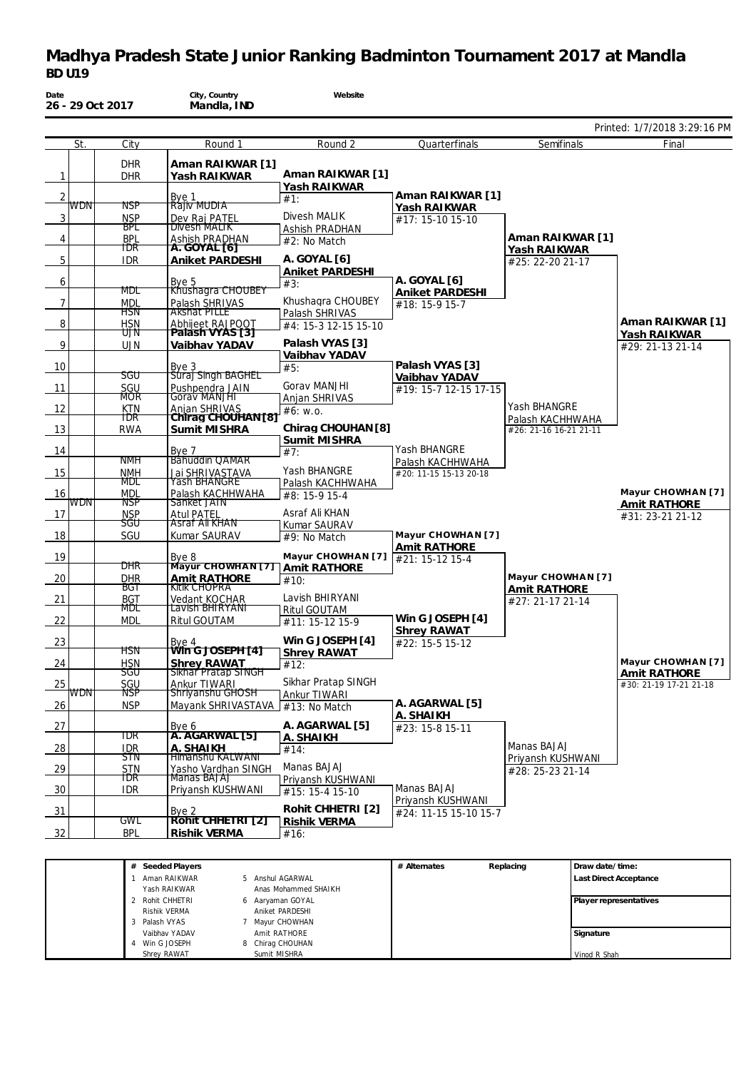| Date         |     | 26 - 29 Oct 2017         | City, Country<br>Mandla, IND            | Website                                |                              |                                            |                              |
|--------------|-----|--------------------------|-----------------------------------------|----------------------------------------|------------------------------|--------------------------------------------|------------------------------|
|              |     |                          |                                         |                                        |                              |                                            | Printed: 1/7/2018 3:29:16 PM |
|              | St. | City                     | Round 1                                 | Round 2                                | Quarterfinals                | Semifinals                                 | Final                        |
| $\mathbf{1}$ |     | <b>DHR</b><br><b>DHR</b> | Aman RAIKWAR [1]<br>Yash RAIKWAR        | Aman RAIKWAR [1]<br>Yash RAIKWAR       |                              |                                            |                              |
| 2            |     |                          | Bye 1                                   | #1:                                    | Aman RAIKWAR [1]             |                                            |                              |
| 3            | WDN | NSP<br><b>NSP</b>        | Rájiv MUDIA                             | Divesh MALIK                           | Yash RAIKWAR                 |                                            |                              |
|              |     | BPL                      | Dev Raj PATEL<br>Divesh MALIK           | Ashish PRADHAN                         | #17: 15-10 15-10             |                                            |                              |
| 4            |     | <b>BPL</b><br>TDR        | Ashish PRADHAN<br>A. GOYAL [6]          | #2: No Match                           |                              | Aman RAIKWAR [1]                           |                              |
| 5            |     | <b>IDR</b>               | Aniket PARDESHI                         | A. GOYAL [6]                           |                              | Yash RAIKWAR<br>#25: 22-20 21-17           |                              |
|              |     |                          |                                         | Aniket PARDESHI                        | A. GOYAL [6]                 |                                            |                              |
| 6            |     | <b>MDL</b>               | Bye 5<br>Khushagra CHOUBEY              | #3:                                    | Aniket PARDESHI              |                                            |                              |
| 7            |     | <b>MDL</b>               | Palash SHRIVAS<br>Akshat PILLE          | Khushagra CHOUBEY                      | #18: 15-9 15-7               |                                            |                              |
| 8            |     | ਸਤਾ<br><b>HSN</b>        |                                         | Palash SHRIVAS<br>#4: 15-3 12-15 15-10 |                              |                                            | Aman RAIKWAR [1]             |
|              |     | ᠊᠊ᡂ                      | Abhijeet RAJPOOT<br>Palash VYAS [3]     |                                        |                              |                                            | Yash RAIKWAR                 |
| 9            |     | <b>UJN</b>               | Vaibhav YADAV                           | Palash VYAS [3]<br>Vaibhav YADAV       |                              |                                            | #29: 21-13 21-14             |
| 10           |     |                          | Bye 3                                   | #5:                                    | Palash VYAS [3]              |                                            |                              |
| 11           |     | sgu                      | Süraj Singh BAGHEL<br>Pushpendra JAIN   | Gorav MANJHI                           | Vaibhav YADAV                |                                            |                              |
|              |     | SGU<br>MOR               | Gorav MANJHI                            | Anjan SHRIVAS                          | #19: 15-7 12-15 17-15        |                                            |                              |
| 12           |     | <b>KTN</b><br>TDR        | Anjan SHRIVAS<br>Chirag CHOUHAN [8]     | #6: w.o.                               |                              | Yash BHANGRE                               |                              |
| 13           |     | <b>RWA</b>               | Sumit MISHRA                            | Chirag CHOUHAN [8]                     |                              | Palash KACHHWAHA<br>#26: 21-16 16-21 21-11 |                              |
|              |     |                          |                                         | Sumit MISHRA                           | Yash BHANGRE                 |                                            |                              |
| 14           |     | <b>NMH</b>               | Bye 7<br><b>Bahuddin QAMAR</b>          | #7:                                    | Palash KACHHWAHA             |                                            |                              |
| 15           |     | <b>NMH</b>               | Jai SHRIVASTAVA                         | Yash BHANGRE                           | #20: 11-15 15-13 20-18       |                                            |                              |
| 16           |     | MDL<br><b>MDL</b>        | <u>Yash BHANGRE</u><br>Palash KACHHWAHA | Palash KACHHWAHA<br>#8: 15-9 15-4      |                              |                                            | Mayur CHOWHAN [7]            |
|              | WDN | NSP                      | <b>Sanket JAIN</b>                      |                                        |                              |                                            | Amit RATHORE                 |
| 17           |     | <b>NSP</b><br>᠊᠍ᢐᡦ᠋      | <b>Atul PATEL</b><br>Asraf All KHAN     | Asraf Ali KHAN<br>Kumar SAURAV         |                              |                                            | #31: 23-21 21-12             |
| 18           |     | SGU                      | Kumar SAURAV                            | #9: No Match                           | Mayur CHOWHAN [7]            |                                            |                              |
| 19           |     |                          | Bye 8                                   | Mayur CHOWHAN [7]                      | Amit RATHORE                 |                                            |                              |
|              |     | DHR                      | Mayur CHOWHAN [7]                       | Amit RATHORE]                          | #21: 15-12 15-4              |                                            |                              |
| 20           |     | <b>DHR</b><br>छटा        | Amit RATHORE<br>Kitik CHOPRA            | #10:                                   |                              | Mayur CHOWHAN [7]<br><b>Amit RATHORE</b>   |                              |
| 21           |     | <b>BGT</b>               | Vedant KOCHAR<br>Lavish BHIRYANI        | Lavish BHIRYANI                        |                              | #27: 21-17 21-14                           |                              |
| 22           |     | MDL<br><b>MDL</b>        | <b>Ritul GOUTAM</b>                     | <b>Ritul GOUTAM</b>                    | Win G JOSEPH [4]             |                                            |                              |
|              |     |                          |                                         | #11: 15-12 15-9                        | <b>Shrey RAWAT</b>           |                                            |                              |
| 23           |     | ĦSNT                     | Bye 4<br>WIN GJOSEPH [4]                | Win G JOSEPH [4]                       | #22: 15-5 15-12              |                                            |                              |
| 24           |     | <b>HSN</b>               | <b>Shrey RAWAT</b>                      | <b>Shrey RAWAT</b><br>#12:             |                              |                                            | Mayur CHOWHAN [7]            |
|              |     | ᢒᡦ᠋                      | Sikhar Pratap SINGH                     | Sikhar Pratap SINGH                    |                              |                                            | <b>Amit RATHORE</b>          |
| 25           | WDN | SGU<br>NSP               | Ankur TIWARI<br>Shriyanshu GHOSH        | Ankur TIWARI                           |                              |                                            | #30: 21-19 17-21 21-18       |
| 26           |     | <b>NSP</b>               | Mayank SHRIVASTAVA                      | $#13$ : No Match                       | A. AGARWAL [5]               |                                            |                              |
| 27           |     |                          | Bye 6                                   | A. AGARWAL [5]                         | A. SHAIKH<br>#23: 15-8 15-11 |                                            |                              |
|              |     | TDR                      | A. AGARWAL [5]                          | A. SHAIKH                              |                              |                                            |                              |
| 28           |     | <b>IDR</b><br>STN        | A. SHAIKH<br><b>Himanshu KALWANI</b>    | #14:                                   |                              | Manas BAJAJ<br>Priyansh KUSHWANI           |                              |
| 29           |     | <b>STN</b>               | Yasho Vardhan SINGH                     | Manas BAJAJ                            |                              | #28: 25-23 21-14                           |                              |
| 30           |     | TDR<br><b>IDR</b>        | Manas BAJAJ<br>Priyansh KUSHWANI        | Priyansh KUSHWANI<br>#15: 15-4 15-10   | Manas BAJAJ                  |                                            |                              |
|              |     |                          |                                         |                                        | Priyansh KUSHWANI            |                                            |                              |
| 31           |     | <b>GWL</b>               | Bye 2<br>Rohit CHHETRI [2]              | Rohit CHHETRI [2]<br>Rishik VERMA      | #24: 11-15 15-10 15-7        |                                            |                              |
| 32           |     | <b>BPL</b>               | Rishik VERMA                            | $\frac{1}{16}$ :                       |                              |                                            |                              |

| Seeded Players<br># |                      | # Alternates | Replacing | Draw date/time:        |
|---------------------|----------------------|--------------|-----------|------------------------|
| Aman RAIKWAR        | 5 Anshul AGARWAL     |              |           | Last Direct Acceptance |
| Yash RAIKWAR        | Anas Mohammed SHAIKH |              |           |                        |
| Rohit CHHETRI       | 6 Aaryaman GOYAL     |              |           | Player representatives |
| Rishik VERMA        | Aniket PARDESHI      |              |           |                        |
| 3 Palash VYAS       | Mayur CHOWHAN        |              |           |                        |
| Vaibhav YADAV       | Amit RATHORE         |              |           | Signature              |
| Win G JOSEPH        | 8 Chirag CHOUHAN     |              |           |                        |
| Shrev RAWAT         | Sumit MISHRA         |              |           | Vinod R Shah           |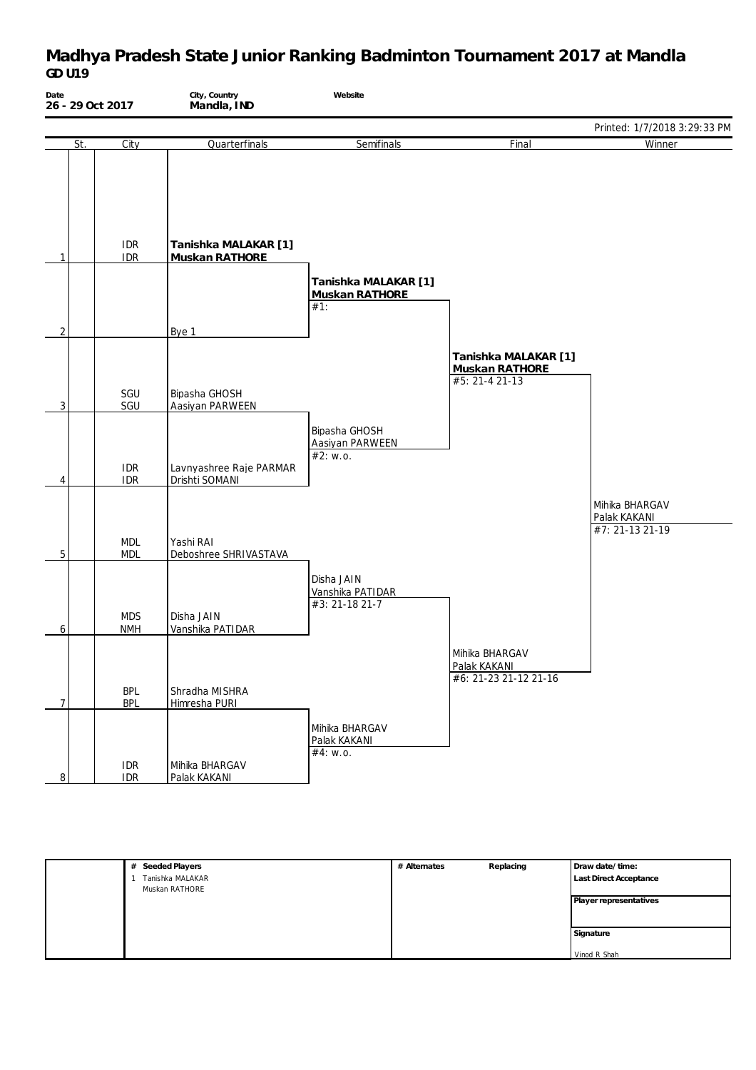

| # Seeded Players | # Alternates | Replacing | Draw date/time:               |
|------------------|--------------|-----------|-------------------------------|
| Tanishka MALAKAR |              |           | <b>Last Direct Acceptance</b> |
| Muskan RATHORE   |              |           |                               |
|                  |              |           | Player representatives        |
|                  |              |           |                               |
|                  |              |           |                               |
|                  |              |           | Signature                     |
|                  |              |           |                               |
|                  |              |           | Vinod R Shah                  |